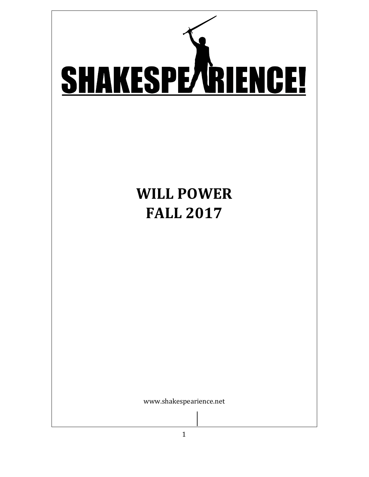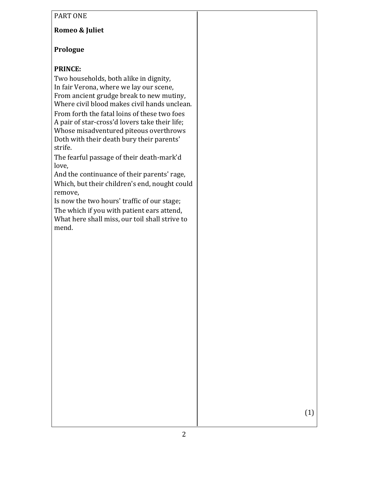#### PART ONE

#### **Romeo & Juliet**

#### **Prologue**

# **PRINCE:**

Two households, both alike in dignity, In fair Verona, where we lay our scene, From ancient grudge break to new mutiny, Where civil blood makes civil hands unclean. From forth the fatal loins of these two foes A pair of star-cross'd lovers take their life; Whose misadventured piteous overthrows Doth with their death bury their parents' strife. 

The fearful passage of their death-mark'd love,

And the continuance of their parents' rage, Which, but their children's end, nought could remove,

Is now the two hours' traffic of our stage;

The which if you with patient ears attend, What here shall miss, our toil shall strive to mend.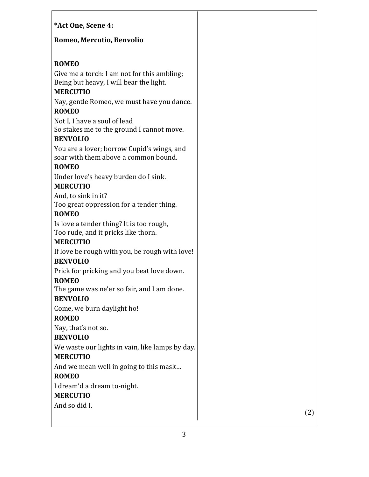| *Act One, Scene 4:                                            |
|---------------------------------------------------------------|
| Romeo, Mercutio, Benvolio                                     |
|                                                               |
| <b>ROMEO</b>                                                  |
| Give me a torch: I am not for this ambling;                   |
| Being but heavy, I will bear the light.                       |
| <b>MERCUTIO</b>                                               |
| Nay, gentle Romeo, we must have you dance.                    |
| <b>ROMEO</b>                                                  |
| Not I, I have a soul of lead                                  |
| So stakes me to the ground I cannot move.                     |
| <b>BENVOLIO</b>                                               |
| You are a lover; borrow Cupid's wings, and                    |
| soar with them above a common bound.                          |
| <b>ROMEO</b>                                                  |
| Under love's heavy burden do I sink.<br><b>MERCUTIO</b>       |
| And, to sink in it?                                           |
| Too great oppression for a tender thing.                      |
| <b>ROMEO</b>                                                  |
| Is love a tender thing? It is too rough,                      |
| Too rude, and it pricks like thorn.                           |
| <b>MERCUTIO</b>                                               |
| If love be rough with you, be rough with love!                |
| <b>BENVOLIO</b>                                               |
| Prick for pricking and you beat love down.                    |
| <b>ROMEO</b>                                                  |
| The game was ne'er so fair, and I am done.<br><b>BENVOLIO</b> |
| Come, we burn daylight ho!                                    |
| <b>ROMEO</b>                                                  |
| Nay, that's not so.                                           |
| <b>BENVOLIO</b>                                               |
| We waste our lights in vain, like lamps by day.               |
| <b>MERCUTIO</b>                                               |
| And we mean well in going to this mask                        |
| <b>ROMEO</b>                                                  |
| I dream'd a dream to-night.                                   |
| <b>MERCUTIO</b>                                               |
| And so did I.                                                 |
|                                                               |

(2)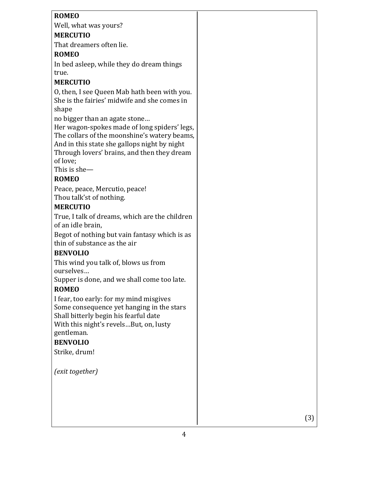# **ROMEO**

Well, what was yours?

# **MERCUTIO**

That dreamers often lie.

#### **ROMEO**

In bed asleep, while they do dream things true.

# **MERCUTIO**

O, then, I see Queen Mab hath been with you. She is the fairies' midwife and she comes in shape

no bigger than an agate stone...

Her wagon-spokes made of long spiders' legs, The collars of the moonshine's watery beams, And in this state she gallops night by night Through lovers' brains, and then they dream of love:

This is she-

# **ROMEO**

Peace, peace, Mercutio, peace! Thou talk'st of nothing.

# **MERCUTIO**

True, I talk of dreams, which are the children of an idle brain,

Begot of nothing but vain fantasy which is as thin of substance as the air

# **BENVOLIO**

This wind you talk of, blows us from ourselves…

Supper is done, and we shall come too late.

# **ROMEO**

I fear, too early: for my mind misgives Some consequence yet hanging in the stars Shall bitterly begin his fearful date With this night's revels...But, on, lusty gentleman.

#### **BENVOLIO**

Strike, drum!

*(exit together)*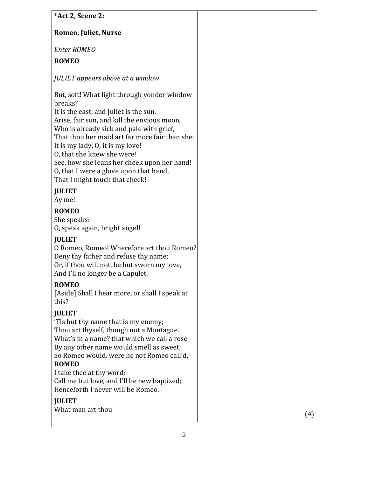| Romeo, Juliet, Nurse                                                                                                                                                                                                                                                                                                                                           |     |
|----------------------------------------------------------------------------------------------------------------------------------------------------------------------------------------------------------------------------------------------------------------------------------------------------------------------------------------------------------------|-----|
| <b>Enter ROMEO</b>                                                                                                                                                                                                                                                                                                                                             |     |
| <b>ROMEO</b>                                                                                                                                                                                                                                                                                                                                                   |     |
| <i>JULIET</i> appears above at a window                                                                                                                                                                                                                                                                                                                        |     |
| But, soft! What light through yonder window<br>breaks?<br>It is the east, and Juliet is the sun.<br>Arise, fair sun, and kill the envious moon,<br>Who is already sick and pale with grief,<br>That thou her maid art far more fair than she:<br>It is my lady, O, it is my love!<br>O, that she knew she were!<br>See, how she leans her cheek upon her hand! |     |
| O, that I were a glove upon that hand,<br>That I might touch that cheek!                                                                                                                                                                                                                                                                                       |     |
| <b>JULIET</b><br>Ay me!                                                                                                                                                                                                                                                                                                                                        |     |
| <b>ROMEO</b><br>She speaks:<br>O, speak again, bright angel!                                                                                                                                                                                                                                                                                                   |     |
| <b>JULIET</b><br>O Romeo, Romeo! Wherefore art thou Romeo?<br>Deny thy father and refuse thy name;<br>Or, if thou wilt not, be but sworn my love,<br>And I'll no longer be a Capulet.                                                                                                                                                                          |     |
| <b>ROMEO</b><br>[Aside] Shall I hear more, or shall I speak at<br>this?                                                                                                                                                                                                                                                                                        |     |
| <b>JULIET</b><br>'Tis but thy name that is my enemy;<br>Thou art thyself, though not a Montague.<br>What's in a name? that which we call a rose<br>By any other name would smell as sweet;<br>So Romeo would, were he not Romeo call'd,<br><b>ROMEO</b>                                                                                                        |     |
| I take thee at thy word:<br>Call me but love, and I'll be new baptized;<br>Henceforth I never will be Romeo.                                                                                                                                                                                                                                                   |     |
| <b>JULIET</b><br>What man art thou                                                                                                                                                                                                                                                                                                                             |     |
| ς                                                                                                                                                                                                                                                                                                                                                              | (4) |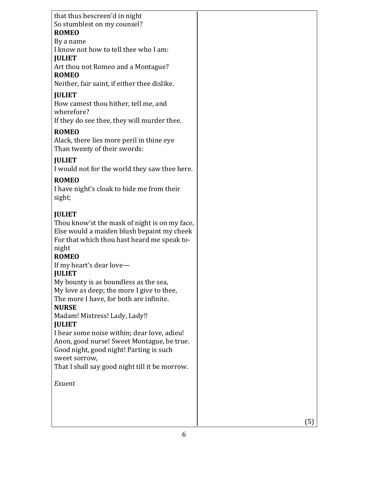| that thus bescreen'd in night                            |  |
|----------------------------------------------------------|--|
| So stumblest on my counsel?<br><b>ROMEO</b>              |  |
| By a name                                                |  |
| I know not how to tell thee who I am:                    |  |
| <b>JULIET</b>                                            |  |
| Art thou not Romeo and a Montague?                       |  |
| <b>ROMEO</b>                                             |  |
| Neither, fair saint, if either thee dislike.             |  |
| <b>JULIET</b>                                            |  |
| How camest thou hither, tell me, and<br>wherefore?       |  |
| If they do see thee, they will murder thee.              |  |
| <b>ROMEO</b>                                             |  |
| Alack, there lies more peril in thine eye                |  |
| Than twenty of their swords:                             |  |
| <b>JULIET</b>                                            |  |
| I would not for the world they saw thee here.            |  |
| <b>ROMEO</b>                                             |  |
| I have night's cloak to hide me from their               |  |
| sight;                                                   |  |
| <b>JULIET</b>                                            |  |
| Thou know'st the mask of night is on my face,            |  |
| Else would a maiden blush bepaint my cheek               |  |
| For that which thou hast heard me speak to-              |  |
| night<br><b>ROMEO</b>                                    |  |
| If my heart's dear love-                                 |  |
| <b>JULIET</b>                                            |  |
| My bounty is as boundless as the sea,                    |  |
| My love as deep; the more I give to thee,                |  |
| The more I have, for both are infinite.<br><b>NURSE</b>  |  |
| Madam! Mistress! Lady, Lady!!                            |  |
| <b>JULIET</b>                                            |  |
| I hear some noise within; dear love, adieu!              |  |
| Anon, good nurse! Sweet Montague, be true.               |  |
| Good night, good night! Parting is such<br>sweet sorrow, |  |
| That I shall say good night till it be morrow.           |  |
|                                                          |  |
| Exuent                                                   |  |
|                                                          |  |
|                                                          |  |
|                                                          |  |

(5)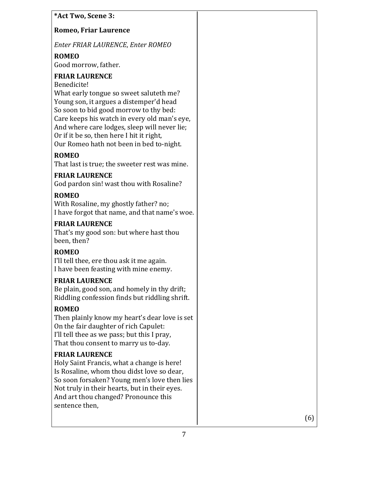| *Act Two, Scene 3:                                                                                                                                                                                                                                                                                                                                            |
|---------------------------------------------------------------------------------------------------------------------------------------------------------------------------------------------------------------------------------------------------------------------------------------------------------------------------------------------------------------|
| <b>Romeo, Friar Laurence</b>                                                                                                                                                                                                                                                                                                                                  |
| Enter FRIAR LAURENCE, Enter ROMEO                                                                                                                                                                                                                                                                                                                             |
| <b>ROMEO</b>                                                                                                                                                                                                                                                                                                                                                  |
| Good morrow, father.                                                                                                                                                                                                                                                                                                                                          |
| <b>FRIAR LAURENCE</b><br>Benedicite!<br>What early tongue so sweet saluteth me?<br>Young son, it argues a distemper'd head<br>So soon to bid good morrow to thy bed:<br>Care keeps his watch in every old man's eye,<br>And where care lodges, sleep will never lie;<br>Or if it be so, then here I hit it right,<br>Our Romeo hath not been in bed to-night. |
| <b>ROMEO</b>                                                                                                                                                                                                                                                                                                                                                  |
| That last is true; the sweeter rest was mine.<br><b>FRIAR LAURENCE</b><br>God pardon sin! wast thou with Rosaline?                                                                                                                                                                                                                                            |
| <b>ROMEO</b><br>With Rosaline, my ghostly father? no;<br>I have forgot that name, and that name's woe.                                                                                                                                                                                                                                                        |
| <b>FRIAR LAURENCE</b><br>That's my good son: but where hast thou<br>been, then?                                                                                                                                                                                                                                                                               |
| <b>ROMEO</b><br>I'll tell thee, ere thou ask it me again.<br>I have been feasting with mine enemy.                                                                                                                                                                                                                                                            |
| <b>FRIAR LAURENCE</b><br>Be plain, good son, and homely in thy drift;<br>Riddling confession finds but riddling shrift.                                                                                                                                                                                                                                       |
| <b>ROMEO</b><br>Then plainly know my heart's dear love is set<br>On the fair daughter of rich Capulet:<br>I'll tell thee as we pass; but this I pray,<br>That thou consent to marry us to-day.                                                                                                                                                                |
| <b>FRIAR LAURENCE</b><br>Holy Saint Francis, what a change is here!<br>Is Rosaline, whom thou didst love so dear,<br>So soon forsaken? Young men's love then lies<br>Not truly in their hearts, but in their eyes.<br>And art thou changed? Pronounce this<br>sentence then,                                                                                  |

( 6 )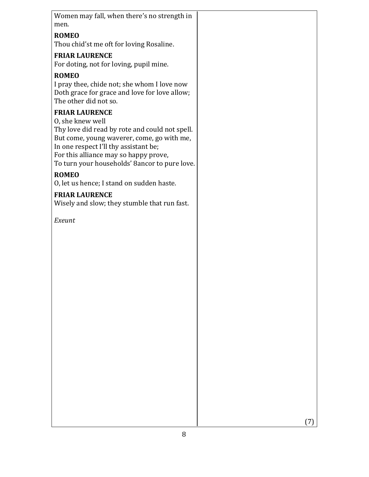| Women may fall, when there's no strength in<br>men.                                                                                                                                                                                                 |
|-----------------------------------------------------------------------------------------------------------------------------------------------------------------------------------------------------------------------------------------------------|
| <b>ROMEO</b>                                                                                                                                                                                                                                        |
| Thou chid'st me oft for loving Rosaline.                                                                                                                                                                                                            |
| <b>FRIAR LAURENCE</b>                                                                                                                                                                                                                               |
| For doting, not for loving, pupil mine.                                                                                                                                                                                                             |
| <b>ROMEO</b>                                                                                                                                                                                                                                        |
| I pray thee, chide not; she whom I love now<br>Doth grace for grace and love for love allow;<br>The other did not so.                                                                                                                               |
| <b>FRIAR LAURENCE</b>                                                                                                                                                                                                                               |
| 0, she knew well<br>Thy love did read by rote and could not spell.<br>But come, young waverer, come, go with me,<br>In one respect I'll thy assistant be;<br>For this alliance may so happy prove,<br>To turn your households' 8ancor to pure love. |
| <b>ROMEO</b>                                                                                                                                                                                                                                        |
| O, let us hence; I stand on sudden haste.                                                                                                                                                                                                           |
| <b>FRIAR LAURENCE</b>                                                                                                                                                                                                                               |
| Wisely and slow; they stumble that run fast.                                                                                                                                                                                                        |
| Exeunt                                                                                                                                                                                                                                              |
|                                                                                                                                                                                                                                                     |
|                                                                                                                                                                                                                                                     |
|                                                                                                                                                                                                                                                     |
|                                                                                                                                                                                                                                                     |
|                                                                                                                                                                                                                                                     |
|                                                                                                                                                                                                                                                     |
|                                                                                                                                                                                                                                                     |
|                                                                                                                                                                                                                                                     |
|                                                                                                                                                                                                                                                     |
|                                                                                                                                                                                                                                                     |
|                                                                                                                                                                                                                                                     |
|                                                                                                                                                                                                                                                     |
|                                                                                                                                                                                                                                                     |
|                                                                                                                                                                                                                                                     |
|                                                                                                                                                                                                                                                     |
|                                                                                                                                                                                                                                                     |
|                                                                                                                                                                                                                                                     |
|                                                                                                                                                                                                                                                     |
|                                                                                                                                                                                                                                                     |
|                                                                                                                                                                                                                                                     |

8

(7)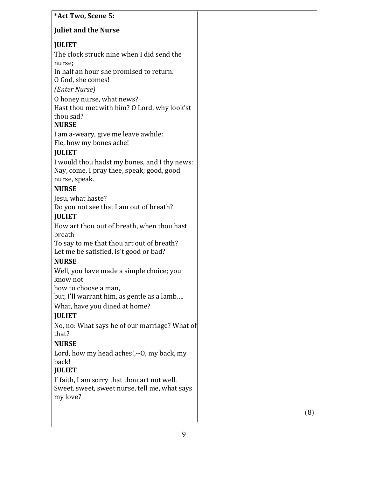| *Act Two, Scene 5:                                                                                                                                                                                                                |     |
|-----------------------------------------------------------------------------------------------------------------------------------------------------------------------------------------------------------------------------------|-----|
| <b>Juliet and the Nurse</b>                                                                                                                                                                                                       |     |
| <b>JULIET</b><br>The clock struck nine when I did send the<br>nurse;<br>In half an hour she promised to return.<br>O God, she comes!<br>(Enter Nurse)<br>O honey nurse, what news?<br>Hast thou met with him? O Lord, why look'st |     |
| thou sad?<br><b>NURSE</b>                                                                                                                                                                                                         |     |
| I am a-weary, give me leave awhile:<br>Fie, how my bones ache!<br><b>JULIET</b>                                                                                                                                                   |     |
| I would thou hadst my bones, and I thy news:<br>Nay, come, I pray thee, speak; good, good<br>nurse, speak.<br><b>NURSE</b>                                                                                                        |     |
| Jesu, what haste?<br>Do you not see that I am out of breath?<br><b>JULIET</b>                                                                                                                                                     |     |
| How art thou out of breath, when thou hast<br>breath<br>To say to me that thou art out of breath?<br>Let me be satisfied, is't good or bad?<br><b>NURSE</b>                                                                       |     |
| Well, you have made a simple choice; you<br>know not<br>how to choose a man,                                                                                                                                                      |     |
| but, I'll warrant him, as gentle as a lamb<br>What, have you dined at home?<br><b>JULIET</b>                                                                                                                                      |     |
| No, no: What says he of our marriage? What of<br>that?                                                                                                                                                                            |     |
| <b>NURSE</b>                                                                                                                                                                                                                      |     |
| Lord, how my head aches!,--0, my back, my<br>back!<br><b>JULIET</b>                                                                                                                                                               |     |
| I' faith, I am sorry that thou art not well.<br>Sweet, sweet, sweet nurse, tell me, what says<br>my love?                                                                                                                         |     |
|                                                                                                                                                                                                                                   | (8) |
| 9                                                                                                                                                                                                                                 |     |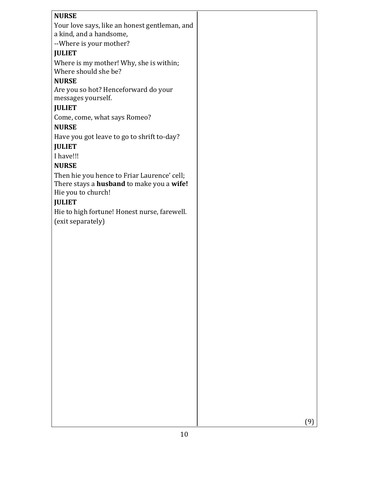| <b>NURSE</b>                                  |     |
|-----------------------------------------------|-----|
| Your love says, like an honest gentleman, and |     |
| a kind, and a handsome,                       |     |
| --Where is your mother?                       |     |
| <b>JULIET</b>                                 |     |
| Where is my mother! Why, she is within;       |     |
| Where should she be?                          |     |
| <b>NURSE</b>                                  |     |
| Are you so hot? Henceforward do your          |     |
| messages yourself.                            |     |
| <b>JULIET</b>                                 |     |
| Come, come, what says Romeo?                  |     |
| <b>NURSE</b>                                  |     |
| Have you got leave to go to shrift to-day?    |     |
| <b>JULIET</b>                                 |     |
| I have!!!                                     |     |
| <b>NURSE</b>                                  |     |
| Then hie you hence to Friar Laurence' cell;   |     |
| There stays a husband to make you a wife!     |     |
| Hie you to church!                            |     |
| <b>JULIET</b>                                 |     |
| Hie to high fortune! Honest nurse, farewell.  |     |
| (exit separately)                             |     |
|                                               |     |
|                                               |     |
|                                               |     |
|                                               |     |
|                                               |     |
|                                               |     |
|                                               |     |
|                                               |     |
|                                               |     |
|                                               |     |
|                                               |     |
|                                               |     |
|                                               |     |
|                                               |     |
|                                               |     |
|                                               |     |
|                                               |     |
|                                               |     |
|                                               |     |
|                                               |     |
|                                               | (9) |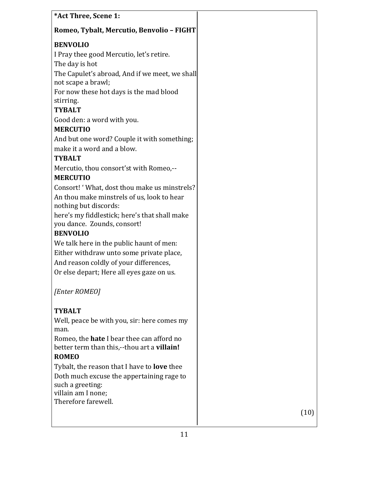| *Act Three, Scene 1:                                            |      |
|-----------------------------------------------------------------|------|
| Romeo, Tybalt, Mercutio, Benvolio - FIGHT                       |      |
| <b>BENVOLIO</b>                                                 |      |
| I Pray thee good Mercutio, let's retire.<br>The day is hot      |      |
| The Capulet's abroad, And if we meet, we shall                  |      |
| not scape a brawl;                                              |      |
| For now these hot days is the mad blood                         |      |
| stirring.<br><b>TYBALT</b>                                      |      |
| Good den: a word with you.                                      |      |
| <b>MERCUTIO</b>                                                 |      |
| And but one word? Couple it with something;                     |      |
| make it a word and a blow.                                      |      |
| <b>TYBALT</b>                                                   |      |
| Mercutio, thou consort'st with Romeo,--                         |      |
| <b>MERCUTIO</b><br>Consort! 'What, dost thou make us minstrels? |      |
| An thou make minstrels of us, look to hear                      |      |
| nothing but discords:                                           |      |
| here's my fiddlestick; here's that shall make                   |      |
| you dance. Zounds, consort!                                     |      |
| <b>BENVOLIO</b><br>We talk here in the public haunt of men:     |      |
| Either withdraw unto some private place,                        |      |
| And reason coldly of your differences,                          |      |
| Or else depart; Here all eyes gaze on us.                       |      |
| [Enter ROMEO]                                                   |      |
| <b>TYBALT</b>                                                   |      |
| Well, peace be with you, sir: here comes my<br>man.             |      |
| Romeo, the <b>hate</b> I bear thee can afford no                |      |
| better term than this,--thou art a villain!<br><b>ROMEO</b>     |      |
| Tybalt, the reason that I have to <b>love</b> thee              |      |
| Doth much excuse the appertaining rage to                       |      |
| such a greeting:                                                |      |
| villain am I none;<br>Therefore farewell.                       |      |
|                                                                 | (10) |
|                                                                 |      |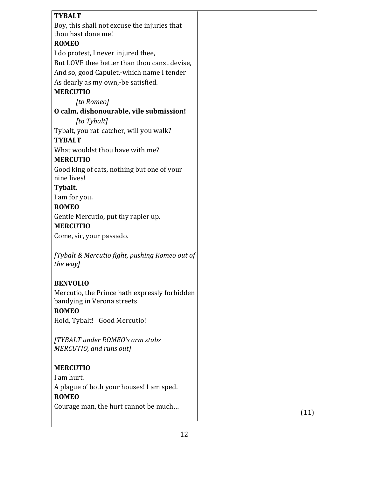| <b>TYBALT</b>                                  |      |
|------------------------------------------------|------|
| Boy, this shall not excuse the injuries that   |      |
| thou hast done me!                             |      |
| <b>ROMEO</b>                                   |      |
| I do protest, I never injured thee,            |      |
| But LOVE thee better than thou canst devise,   |      |
| And so, good Capulet,-which name I tender      |      |
| As dearly as my own,-be satisfied.             |      |
| <b>MERCUTIO</b>                                |      |
| [to Romeo]                                     |      |
| O calm, dishonourable, vile submission!        |      |
| [to Tybalt]                                    |      |
| Tybalt, you rat-catcher, will you walk?        |      |
| <b>TYBALT</b>                                  |      |
| What wouldst thou have with me?                |      |
| <b>MERCUTIO</b>                                |      |
| Good king of cats, nothing but one of your     |      |
| nine lives!                                    |      |
| Tybalt.                                        |      |
| I am for you.                                  |      |
| <b>ROMEO</b>                                   |      |
| Gentle Mercutio, put thy rapier up.            |      |
| <b>MERCUTIO</b>                                |      |
| Come, sir, your passado.                       |      |
|                                                |      |
| [Tybalt & Mercutio fight, pushing Romeo out of |      |
| the way]                                       |      |
|                                                |      |
| <b>BENVOLIO</b>                                |      |
| Mercutio, the Prince hath expressly forbidden  |      |
| bandying in Verona streets                     |      |
| <b>ROMEO</b>                                   |      |
| Hold, Tybalt! Good Mercutio!                   |      |
|                                                |      |
| [TYBALT under ROMEO's arm stabs                |      |
| MERCUTIO, and runs out]                        |      |
|                                                |      |
| <b>MERCUTIO</b>                                |      |
| I am hurt.                                     |      |
| A plague o' both your houses! I am sped.       |      |
| <b>ROMEO</b>                                   |      |
| Courage man, the hurt cannot be much           | (11) |
|                                                |      |
|                                                |      |

12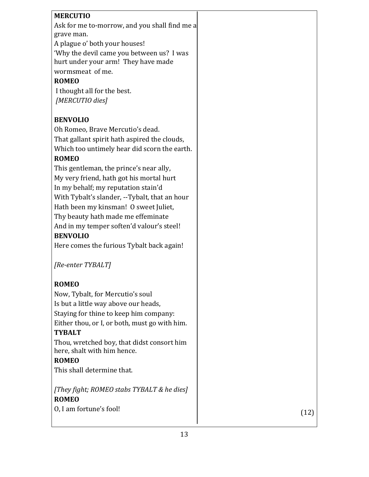| <b>MERCUTIO</b>                               |      |
|-----------------------------------------------|------|
| Ask for me to-morrow, and you shall find me a |      |
| grave man.                                    |      |
| A plague o' both your houses!                 |      |
| 'Why the devil came you between us? I was     |      |
| hurt under your arm! They have made           |      |
| wormsmeat of me.                              |      |
| <b>ROMEO</b>                                  |      |
| I thought all for the best.                   |      |
| [MERCUTIO dies]                               |      |
| <b>BENVOLIO</b>                               |      |
| Oh Romeo, Brave Mercutio's dead.              |      |
| That gallant spirit hath aspired the clouds,  |      |
| Which too untimely hear did scorn the earth.  |      |
| <b>ROMEO</b>                                  |      |
| This gentleman, the prince's near ally,       |      |
| My very friend, hath got his mortal hurt      |      |
| In my behalf; my reputation stain'd           |      |
| With Tybalt's slander, --Tybalt, that an hour |      |
| Hath been my kinsman! O sweet Juliet,         |      |
| Thy beauty hath made me effeminate            |      |
| And in my temper soften'd valour's steel!     |      |
| <b>BENVOLIO</b>                               |      |
| Here comes the furious Tybalt back again!     |      |
|                                               |      |
| [Re-enter TYBALT]                             |      |
|                                               |      |
| <b>ROMEO</b>                                  |      |
| Now, Tybalt, for Mercutio's soul              |      |
| Is but a little way above our heads,          |      |
| Staying for thine to keep him company:        |      |
| Either thou, or I, or both, must go with him. |      |
| <b>TYBALT</b>                                 |      |
| Thou, wretched boy, that didst consort him    |      |
| here, shalt with him hence.                   |      |
| <b>ROMEO</b>                                  |      |
| This shall determine that.                    |      |
|                                               |      |
| [They fight; ROMEO stabs TYBALT & he dies]    |      |
| <b>ROMEO</b>                                  |      |
| O, I am fortune's fool!                       | (12) |
|                                               |      |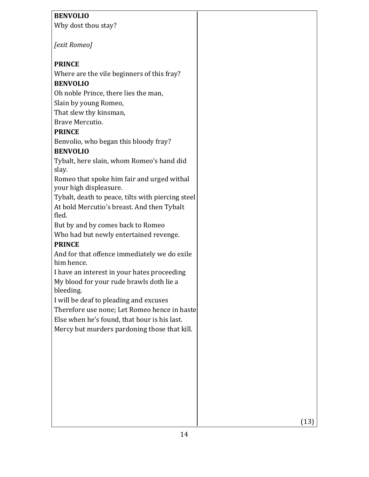| <b>BENVOLIO</b>     |  |
|---------------------|--|
| Why dost thou stay? |  |
|                     |  |

*[exit Romeo]*

# **PRINCE**

Where are the vile beginners of this fray? **BENVOLIO**

Oh noble Prince, there lies the man,

Slain by young Romeo,

That slew thy kinsman,

Brave Mercutio.

# **PRINCE**

Benvolio, who began this bloody fray? **BENVOLIO**

Tybalt, here slain, whom Romeo's hand did slay.

Romeo that spoke him fair and urged withal your high displeasure.

Tybalt, death to peace, tilts with piercing steel At bold Mercutio's breast. And then Tybalt fled.

But by and by comes back to Romeo

Who had but newly entertained revenge.

# **PRINCE**

And for that offence immediately we do exile him hence.

I have an interest in your hates proceeding My blood for your rude brawls doth lie a bleeding.

I will be deaf to pleading and excuses

Therefore use none; Let Romeo hence in haste Else when he's found, that hour is his last.

Mercy but murders pardoning those that kill.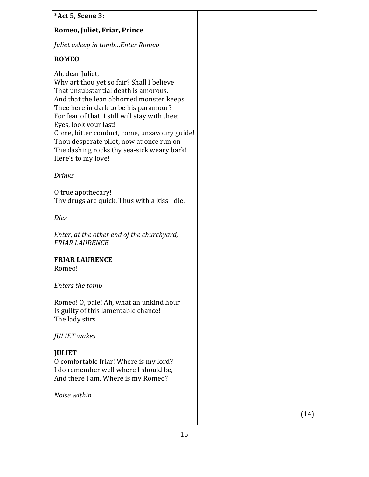| *Act 5, Scene 3:                                                                                                                                                                                                                                                                                                                                                                                                                      |
|---------------------------------------------------------------------------------------------------------------------------------------------------------------------------------------------------------------------------------------------------------------------------------------------------------------------------------------------------------------------------------------------------------------------------------------|
| Romeo, Juliet, Friar, Prince                                                                                                                                                                                                                                                                                                                                                                                                          |
| Juliet asleep in tombEnter Romeo                                                                                                                                                                                                                                                                                                                                                                                                      |
| <b>ROMEO</b>                                                                                                                                                                                                                                                                                                                                                                                                                          |
| Ah, dear Juliet,<br>Why art thou yet so fair? Shall I believe<br>That unsubstantial death is amorous,<br>And that the lean abhorred monster keeps<br>Thee here in dark to be his paramour?<br>For fear of that, I still will stay with thee;<br>Eyes, look your last!<br>Come, bitter conduct, come, unsavoury guide!<br>Thou desperate pilot, now at once run on<br>The dashing rocks thy sea-sick weary bark!<br>Here's to my love! |
| <b>Drinks</b>                                                                                                                                                                                                                                                                                                                                                                                                                         |
| O true apothecary!<br>Thy drugs are quick. Thus with a kiss I die.                                                                                                                                                                                                                                                                                                                                                                    |
| <b>Dies</b>                                                                                                                                                                                                                                                                                                                                                                                                                           |
| Enter, at the other end of the churchyard,<br><b>FRIAR LAURENCE</b>                                                                                                                                                                                                                                                                                                                                                                   |
| <b>FRIAR LAURENCE</b><br>Romeo!                                                                                                                                                                                                                                                                                                                                                                                                       |
| Enters the tomb                                                                                                                                                                                                                                                                                                                                                                                                                       |
| Romeo! O, pale! Ah, what an unkind hour<br>Is guilty of this lamentable chance!<br>The lady stirs.                                                                                                                                                                                                                                                                                                                                    |
| <b>JULIET</b> wakes                                                                                                                                                                                                                                                                                                                                                                                                                   |
| <b>JULIET</b><br>O comfortable friar! Where is my lord?<br>I do remember well where I should be,<br>And there I am. Where is my Romeo?                                                                                                                                                                                                                                                                                                |
| Noise within                                                                                                                                                                                                                                                                                                                                                                                                                          |
|                                                                                                                                                                                                                                                                                                                                                                                                                                       |

(14)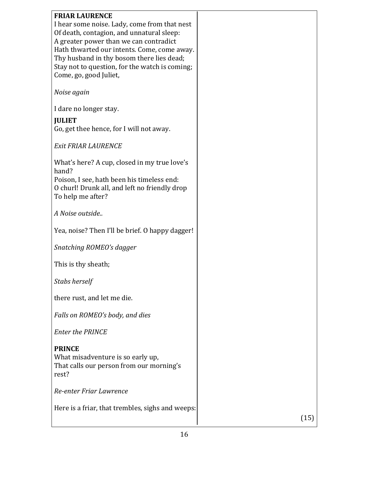| <b>FRIAR LAURENCE</b>                            |      |
|--------------------------------------------------|------|
| I hear some noise. Lady, come from that nest     |      |
| Of death, contagion, and unnatural sleep:        |      |
|                                                  |      |
| A greater power than we can contradict           |      |
| Hath thwarted our intents. Come, come away.      |      |
|                                                  |      |
| Thy husband in thy bosom there lies dead;        |      |
| Stay not to question, for the watch is coming;   |      |
| Come, go, good Juliet,                           |      |
|                                                  |      |
|                                                  |      |
| Noise again                                      |      |
|                                                  |      |
| I dare no longer stay.                           |      |
|                                                  |      |
| <b>JULIET</b>                                    |      |
| Go, get thee hence, for I will not away.         |      |
|                                                  |      |
|                                                  |      |
| <b>Exit FRIAR LAURENCE</b>                       |      |
|                                                  |      |
|                                                  |      |
| What's here? A cup, closed in my true love's     |      |
| hand?                                            |      |
| Poison, I see, hath been his timeless end:       |      |
|                                                  |      |
| O churl! Drunk all, and left no friendly drop    |      |
| To help me after?                                |      |
|                                                  |      |
| A Noise outside                                  |      |
|                                                  |      |
|                                                  |      |
| Yea, noise? Then I'll be brief. O happy dagger!  |      |
|                                                  |      |
|                                                  |      |
| Snatching ROMEO's dagger                         |      |
|                                                  |      |
| This is thy sheath;                              |      |
|                                                  |      |
|                                                  |      |
| Stabs herself                                    |      |
|                                                  |      |
| there rust, and let me die.                      |      |
|                                                  |      |
|                                                  |      |
| Falls on ROMEO's body, and dies                  |      |
|                                                  |      |
|                                                  |      |
| <b>Enter the PRINCE</b>                          |      |
|                                                  |      |
| <b>PRINCE</b>                                    |      |
| What misadventure is so early up,                |      |
|                                                  |      |
| That calls our person from our morning's         |      |
| rest?                                            |      |
|                                                  |      |
|                                                  |      |
| Re-enter Friar Lawrence                          |      |
|                                                  |      |
| Here is a friar, that trembles, sighs and weeps: |      |
|                                                  |      |
|                                                  | (15) |
|                                                  |      |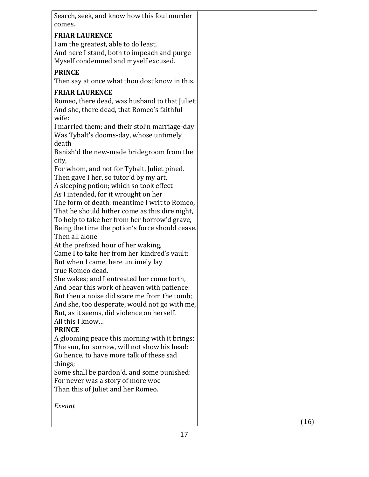| Search, seek, and know how this foul murder<br>comes.                                                                       |  |
|-----------------------------------------------------------------------------------------------------------------------------|--|
| <b>FRIAR LAURENCE</b>                                                                                                       |  |
| I am the greatest, able to do least,<br>And here I stand, both to impeach and purge<br>Myself condemned and myself excused. |  |
| <b>PRINCE</b>                                                                                                               |  |
| Then say at once what thou dost know in this.                                                                               |  |
| <b>FRIAR LAURENCE</b>                                                                                                       |  |
| Romeo, there dead, was husband to that Juliet;<br>And she, there dead, that Romeo's faithful<br>wife:                       |  |
| I married them; and their stol'n marriage-day<br>Was Tybalt's dooms-day, whose untimely<br>death                            |  |
| Banish'd the new-made bridegroom from the<br>city,                                                                          |  |
| For whom, and not for Tybalt, Juliet pined.<br>Then gave I her, so tutor'd by my art,                                       |  |
| A sleeping potion; which so took effect                                                                                     |  |
| As I intended, for it wrought on her<br>The form of death: meantime I writ to Romeo,                                        |  |
| That he should hither come as this dire night,                                                                              |  |
| To help to take her from her borrow'd grave,                                                                                |  |
| Being the time the potion's force should cease.<br>Then all alone                                                           |  |
| At the prefixed hour of her waking,                                                                                         |  |
| Came I to take her from her kindred's vault:<br>But when I came, here untimely lay                                          |  |
| true Romeo dead.<br>She wakes; and I entreated her come forth,                                                              |  |
| And bear this work of heaven with patience:                                                                                 |  |
| But then a noise did scare me from the tomb;                                                                                |  |
| And she, too desperate, would not go with me,                                                                               |  |
| But, as it seems, did violence on herself.                                                                                  |  |
| All this I know                                                                                                             |  |
| <b>PRINCE</b>                                                                                                               |  |
| A glooming peace this morning with it brings;<br>The sun, for sorrow, will not show his head:                               |  |
| Go hence, to have more talk of these sad                                                                                    |  |
| things;                                                                                                                     |  |
| Some shall be pardon'd, and some punished:                                                                                  |  |
| For never was a story of more woe                                                                                           |  |
| Than this of Juliet and her Romeo.                                                                                          |  |
| Exeunt                                                                                                                      |  |

(16 )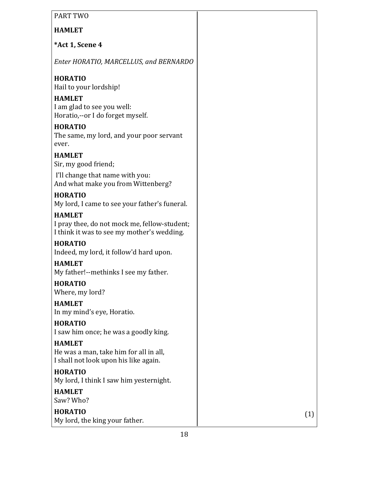| <b>PART TWO</b>                                                                            |     |
|--------------------------------------------------------------------------------------------|-----|
| <b>HAMLET</b>                                                                              |     |
| *Act 1, Scene 4                                                                            |     |
| Enter HORATIO, MARCELLUS, and BERNARDO                                                     |     |
| <b>HORATIO</b><br>Hail to your lordship!                                                   |     |
| <b>HAMLET</b>                                                                              |     |
| I am glad to see you well:<br>Horatio,--or I do forget myself.                             |     |
| <b>HORATIO</b><br>The same, my lord, and your poor servant<br>ever.                        |     |
| <b>HAMLET</b><br>Sir, my good friend;                                                      |     |
| I'll change that name with you:<br>And what make you from Wittenberg?                      |     |
| <b>HORATIO</b><br>My lord, I came to see your father's funeral.                            |     |
| <b>HAMLET</b>                                                                              |     |
| I pray thee, do not mock me, fellow-student;<br>I think it was to see my mother's wedding. |     |
| <b>HORATIO</b><br>Indeed, my lord, it follow'd hard upon.                                  |     |
| <b>HAMLET</b><br>My father!--methinks I see my father.                                     |     |
| <b>HORATIO</b><br>Where, my lord?                                                          |     |
| <b>HAMLET</b>                                                                              |     |
| In my mind's eye, Horatio.                                                                 |     |
| <b>HORATIO</b><br>I saw him once; he was a goodly king.                                    |     |
| <b>HAMLET</b>                                                                              |     |
| He was a man, take him for all in all,<br>I shall not look upon his like again.            |     |
| <b>HORATIO</b><br>My lord, I think I saw him yesternight.                                  |     |
| <b>HAMLET</b>                                                                              |     |
| Saw? Who?                                                                                  |     |
| <b>HORATIO</b>                                                                             | (1) |
| My lord, the king your father.                                                             |     |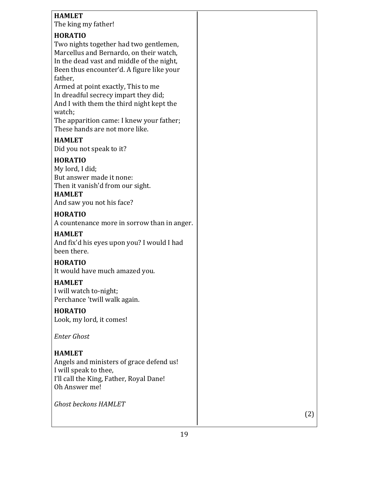#### **HAMLET**

The king my father!

#### **HORATIO**

Two nights together had two gentlemen, Marcellus and Bernardo, on their watch, In the dead vast and middle of the night, Been thus encounter'd. A figure like your father,

Armed at point exactly, This to me In dreadful secrecy impart they did; And I with them the third night kept the watch;

The apparition came: I knew your father; These hands are not more like.

#### **HAMLET**

Did you not speak to it?

#### **HORATIO**

My lord, I did; But answer made it none: Then it vanish'd from our sight.

# **HAMLET**

And saw you not his face?

#### **HORATIO**

A countenance more in sorrow than in anger.

#### **HAMLET**

And fix'd his eyes upon you? I would I had been there.

#### **HORATIO**

It would have much amazed you.

#### **HAMLET**

I will watch to-night; Perchance 'twill walk again.

#### **HORATIO**

Look, my lord, it comes!

*Enter Ghost*

# **HAMLET**

Angels and ministers of grace defend us! I will speak to thee, I'll call the King, Father, Royal Dane! Oh Answer me!

*Ghost beckons HAMLET*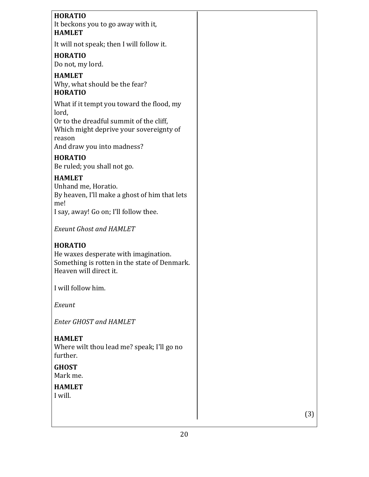| <b>HORATIO</b><br>It beckons you to go away with it,<br><b>HAMLET</b>                                                            |  |
|----------------------------------------------------------------------------------------------------------------------------------|--|
| It will not speak; then I will follow it.                                                                                        |  |
| <b>HORATIO</b><br>Do not, my lord.                                                                                               |  |
| <b>HAMLET</b><br>Why, what should be the fear?<br><b>HORATIO</b>                                                                 |  |
| What if it tempt you toward the flood, my<br>lord,                                                                               |  |
| Or to the dreadful summit of the cliff,<br>Which might deprive your sovereignty of<br>reason                                     |  |
| And draw you into madness?                                                                                                       |  |
| <b>HORATIO</b><br>Be ruled; you shall not go.                                                                                    |  |
| <b>HAMLET</b><br>Unhand me, Horatio.<br>By heaven, I'll make a ghost of him that lets<br>me!                                     |  |
| I say, away! Go on; I'll follow thee.                                                                                            |  |
| <b>Exeunt Ghost and HAMLET</b>                                                                                                   |  |
| <b>HORATIO</b><br>He waxes desperate with imagination.<br>Something is rotten in the state of Denmark.<br>Heaven will direct it. |  |
| I will follow him.                                                                                                               |  |
| Exeunt                                                                                                                           |  |
| <b>Enter GHOST and HAMLET</b>                                                                                                    |  |
| <b>HAMLET</b><br>Where wilt thou lead me? speak; I'll go no<br>further.                                                          |  |
| <b>GHOST</b><br>Mark me.                                                                                                         |  |
| <b>HAMLET</b><br>I will.                                                                                                         |  |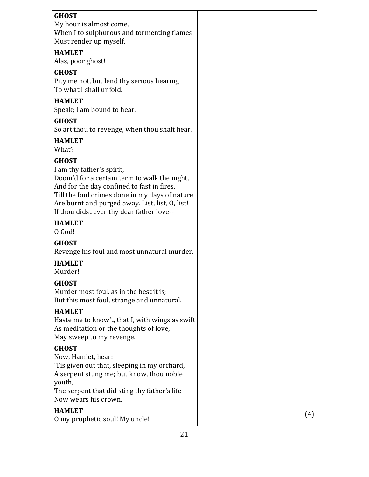| <b>GHOST</b><br>My hour is almost come,<br>When I to sulphurous and tormenting flames<br>Must render up myself. |     |
|-----------------------------------------------------------------------------------------------------------------|-----|
| <b>HAMLET</b><br>Alas, poor ghost!                                                                              |     |
| <b>GHOST</b>                                                                                                    |     |
| Pity me not, but lend thy serious hearing<br>To what I shall unfold.                                            |     |
| <b>HAMLET</b>                                                                                                   |     |
| Speak; I am bound to hear.                                                                                      |     |
| <b>GHOST</b>                                                                                                    |     |
| So art thou to revenge, when thou shalt hear.                                                                   |     |
| <b>HAMLET</b>                                                                                                   |     |
| What?                                                                                                           |     |
| <b>GHOST</b>                                                                                                    |     |
| I am thy father's spirit,                                                                                       |     |
| Doom'd for a certain term to walk the night,                                                                    |     |
| And for the day confined to fast in fires,                                                                      |     |
| Till the foul crimes done in my days of nature                                                                  |     |
| Are burnt and purged away. List, list, O, list!<br>If thou didst ever thy dear father love--                    |     |
|                                                                                                                 |     |
| <b>HAMLET</b>                                                                                                   |     |
|                                                                                                                 |     |
| O God!                                                                                                          |     |
| <b>GHOST</b>                                                                                                    |     |
| Revenge his foul and most unnatural murder.                                                                     |     |
| <b>HAMLET</b>                                                                                                   |     |
| Murder!                                                                                                         |     |
| <b>GHOST</b>                                                                                                    |     |
| Murder most foul, as in the best it is;                                                                         |     |
| But this most foul, strange and unnatural.                                                                      |     |
| <b>HAMLET</b>                                                                                                   |     |
| Haste me to know't, that I, with wings as swift<br>As meditation or the thoughts of love,                       |     |
| May sweep to my revenge.                                                                                        |     |
| <b>GHOST</b>                                                                                                    |     |
| Now, Hamlet, hear:                                                                                              |     |
| 'Tis given out that, sleeping in my orchard,                                                                    |     |
| A serpent stung me; but know, thou noble                                                                        |     |
| youth,                                                                                                          |     |
| The serpent that did sting thy father's life<br>Now wears his crown.                                            |     |
| <b>HAMLET</b>                                                                                                   |     |
| O my prophetic soul! My uncle!                                                                                  | (4) |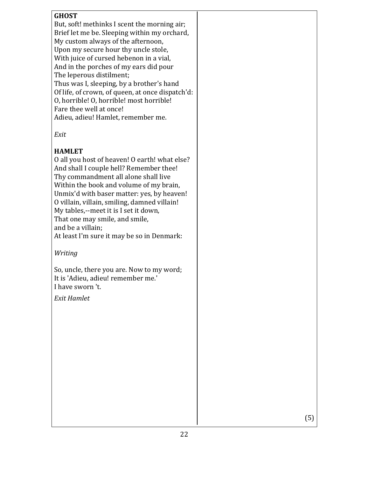#### **GHOST**

But, soft! methinks I scent the morning air; Brief let me be. Sleeping within my orchard, My custom always of the afternoon, Upon my secure hour thy uncle stole, With juice of cursed hebenon in a vial, And in the porches of my ears did pour The leperous distilment; Thus was I, sleeping, by a brother's hand Of life, of crown, of queen, at once dispatch'd: O, horrible! O, horrible! most horrible! Fare thee well at once! Adieu, adieu! Hamlet, remember me.

#### *Exit*

#### **HAMLET**

O all you host of heaven! O earth! what else? And shall I couple hell? Remember thee! Thy commandment all alone shall live Within the book and volume of my brain, Unmix'd with baser matter: yes, by heaven! O villain, villain, smiling, damned villain! My tables,--meet it is I set it down, That one may smile, and smile, and be a villain; At least I'm sure it may be so in Denmark:

*Writing*

So, uncle, there you are. Now to my word; It is 'Adieu, adieu! remember me.' I have sworn 't.

*Exit Hamlet*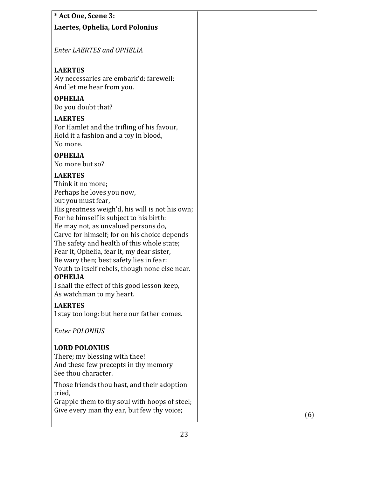| * Act One, Scene 3:                 |                                                                                       |
|-------------------------------------|---------------------------------------------------------------------------------------|
|                                     | Laertes, Ophelia, Lord Polonius                                                       |
|                                     |                                                                                       |
|                                     | <b>Enter LAERTES and OPHELIA</b>                                                      |
|                                     |                                                                                       |
| <b>LAERTES</b>                      |                                                                                       |
|                                     | My necessaries are embark'd: farewell:                                                |
|                                     | And let me hear from you.                                                             |
| <b>OPHELIA</b>                      |                                                                                       |
| Do you doubt that?                  |                                                                                       |
| <b>LAERTES</b>                      |                                                                                       |
|                                     | For Hamlet and the trifling of his favour,                                            |
| No more.                            | Hold it a fashion and a toy in blood,                                                 |
|                                     |                                                                                       |
| <b>OPHELIA</b><br>No more but so?   |                                                                                       |
|                                     |                                                                                       |
| <b>LAERTES</b><br>Think it no more; |                                                                                       |
|                                     | Perhaps he loves you now,                                                             |
| but you must fear,                  |                                                                                       |
|                                     | His greatness weigh'd, his will is not his own;                                       |
|                                     | For he himself is subject to his birth:                                               |
|                                     | He may not, as unvalued persons do,                                                   |
|                                     | Carve for himself; for on his choice depends                                          |
|                                     | The safety and health of this whole state;                                            |
|                                     | Fear it, Ophelia, fear it, my dear sister,<br>Be wary then; best safety lies in fear: |
|                                     | Youth to itself rebels, though none else near.                                        |
| <b>OPHELIA</b>                      |                                                                                       |
|                                     | I shall the effect of this good lesson keep,                                          |
|                                     | As watchman to my heart.                                                              |
| <b>LAERTES</b>                      |                                                                                       |
|                                     | I stay too long: but here our father comes.                                           |
|                                     |                                                                                       |
| <b>Enter POLONIUS</b>               |                                                                                       |
| <b>LORD POLONIUS</b>                |                                                                                       |
|                                     | There; my blessing with thee!                                                         |
|                                     | And these few precepts in thy memory                                                  |
| See thou character.                 |                                                                                       |
|                                     | Those friends thou hast, and their adoption                                           |
| tried,                              |                                                                                       |
|                                     | Grapple them to thy soul with hoops of steel;                                         |
|                                     | Give every man thy ear, but few thy voice;                                            |
|                                     |                                                                                       |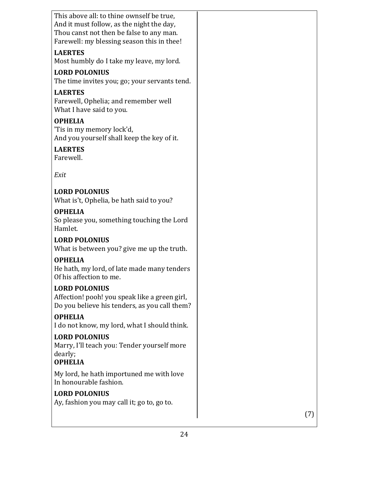| 24                                                                                                                                                                               |     |
|----------------------------------------------------------------------------------------------------------------------------------------------------------------------------------|-----|
| Ay, fashion you may call it; go to, go to.                                                                                                                                       | (7) |
| <b>LORD POLONIUS</b>                                                                                                                                                             |     |
| My lord, he hath importuned me with love<br>In honourable fashion.                                                                                                               |     |
| Marry, I'll teach you: Tender yourself more<br>dearly;<br><b>OPHELIA</b>                                                                                                         |     |
| I do not know, my lord, what I should think.<br><b>LORD POLONIUS</b>                                                                                                             |     |
| <b>LORD POLONIUS</b><br>Affection! pooh! you speak like a green girl,<br>Do you believe his tenders, as you call them?<br><b>OPHELIA</b>                                         |     |
| <b>OPHELIA</b><br>He hath, my lord, of late made many tenders<br>Of his affection to me.                                                                                         |     |
| <b>LORD POLONIUS</b><br>What is between you? give me up the truth.                                                                                                               |     |
| <b>OPHELIA</b><br>So please you, something touching the Lord<br>Hamlet.                                                                                                          |     |
| <b>LORD POLONIUS</b><br>What is't, Ophelia, be hath said to you?                                                                                                                 |     |
| Exit                                                                                                                                                                             |     |
| <b>LAERTES</b><br>Farewell.                                                                                                                                                      |     |
| <b>OPHELIA</b><br>'Tis in my memory lock'd,<br>And you yourself shall keep the key of it.                                                                                        |     |
| <b>LAERTES</b><br>Farewell, Ophelia; and remember well<br>What I have said to you.                                                                                               |     |
| The time invites you; go; your servants tend.                                                                                                                                    |     |
| <b>LAERTES</b><br>Most humbly do I take my leave, my lord.<br><b>LORD POLONIUS</b>                                                                                               |     |
| This above all: to thine ownself be true,<br>And it must follow, as the night the day,<br>Thou canst not then be false to any man.<br>Farewell: my blessing season this in thee! |     |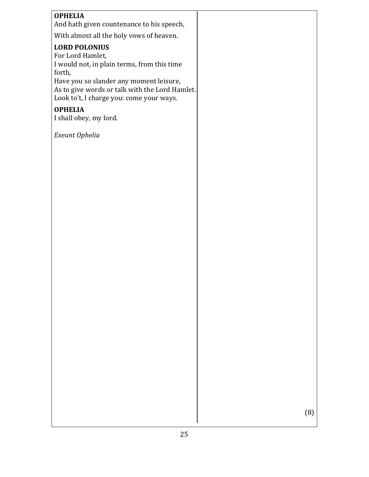# **OPHELIA** And hath given countenance to his speech, With almost all the holy vows of heaven. **LORD POLONIUS** For Lord Hamlet, I would not, in plain terms, from this time forth, Have you so slander any moment leisure, As to give words or talk with the Lord Hamlet. Look to't, I charge you: come your ways. **OPHELIA** I shall obey, my lord. *Exeunt Ophelia* (8)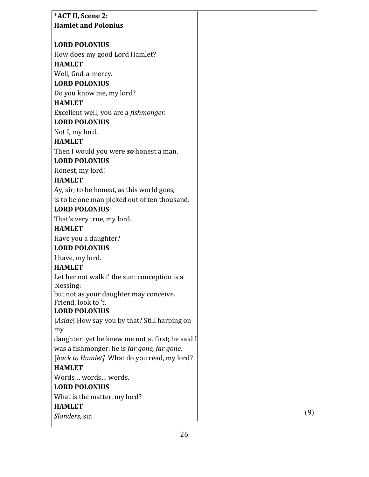| *ACT II, Scene 2:                                   |     |
|-----------------------------------------------------|-----|
| <b>Hamlet and Polonius</b>                          |     |
|                                                     |     |
| <b>LORD POLONIUS</b>                                |     |
| How does my good Lord Hamlet?                       |     |
| <b>HAMLET</b>                                       |     |
| Well, God-a-mercy.                                  |     |
| <b>LORD POLONIUS</b>                                |     |
| Do you know me, my lord?                            |     |
| <b>HAMLET</b>                                       |     |
| Excellent well; you are a <i>fishmonger</i> .       |     |
| <b>LORD POLONIUS</b>                                |     |
| Not I, my lord.                                     |     |
| <b>HAMLET</b>                                       |     |
| Then I would you were so honest a man.              |     |
| <b>LORD POLONIUS</b>                                |     |
| Honest, my lord!                                    |     |
| <b>HAMLET</b>                                       |     |
| Ay, sir; to be honest, as this world goes,          |     |
| is to be one man picked out of ten thousand.        |     |
| <b>LORD POLONIUS</b>                                |     |
| That's very true, my lord.                          |     |
| <b>HAMLET</b>                                       |     |
| Have you a daughter?                                |     |
| <b>LORD POLONIUS</b>                                |     |
| I have, my lord.                                    |     |
| <b>HAMLET</b>                                       |     |
| Let her not walk i' the sun: conception is a        |     |
| blessing:                                           |     |
| but not as your daughter may conceive.              |     |
| Friend, look to 't.<br><b>LORD POLONIUS</b>         |     |
|                                                     |     |
| [Aside] How say you by that? Still harping on<br>my |     |
| daughter: yet he knew me not at first; he said I    |     |
| was a fishmonger: he is far gone, far gone.         |     |
| [back to Hamlet] What do you read, my lord?         |     |
| <b>HAMLET</b>                                       |     |
| Words words words.                                  |     |
| <b>LORD POLONIUS</b>                                |     |
| What is the matter, my lord?                        |     |
| <b>HAMLET</b>                                       |     |
| Slanders, sir.                                      | (9) |
|                                                     |     |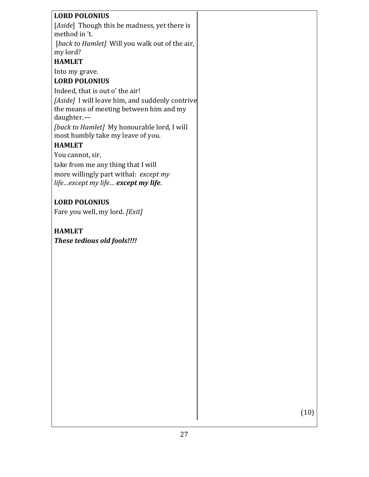| <b>LORD POLONIUS</b>                                                                                     |      |
|----------------------------------------------------------------------------------------------------------|------|
| [Aside] Though this be madness, yet there is                                                             |      |
| method in 't.                                                                                            |      |
| [back to Hamlet] Will you walk out of the air,                                                           |      |
| my lord?                                                                                                 |      |
| <b>HAMLET</b>                                                                                            |      |
| Into my grave.                                                                                           |      |
| <b>LORD POLONIUS</b>                                                                                     |      |
| Indeed, that is out o' the air!                                                                          |      |
| [Aside] I will leave him, and suddenly contrive<br>the means of meeting between him and my<br>daughter.- |      |
| [back to Hamlet] My honourable lord, I will<br>most humbly take my leave of you.                         |      |
| <b>HAMLET</b>                                                                                            |      |
| You cannot, sir,                                                                                         |      |
| take from me any thing that I will                                                                       |      |
| more willingly part withal: except my                                                                    |      |
| lifeexcept my life except my life.                                                                       |      |
|                                                                                                          |      |
| <b>LORD POLONIUS</b>                                                                                     |      |
| Fare you well, my lord. [Exit]                                                                           |      |
|                                                                                                          |      |
| <b>HAMLET</b>                                                                                            |      |
| These tedious old fools!!!!                                                                              |      |
|                                                                                                          |      |
|                                                                                                          |      |
|                                                                                                          |      |
|                                                                                                          |      |
|                                                                                                          |      |
|                                                                                                          |      |
|                                                                                                          |      |
|                                                                                                          |      |
|                                                                                                          |      |
|                                                                                                          |      |
|                                                                                                          |      |
|                                                                                                          |      |
|                                                                                                          |      |
|                                                                                                          |      |
|                                                                                                          |      |
|                                                                                                          |      |
|                                                                                                          |      |
|                                                                                                          | (10) |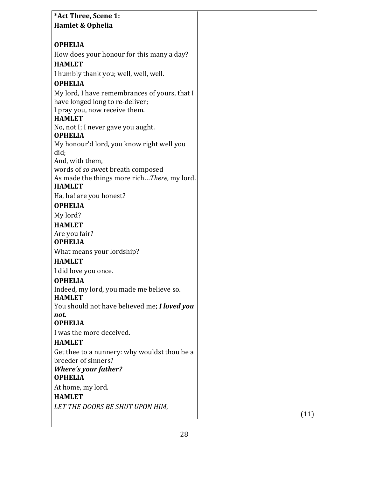| *Act Three, Scene 1:                                         |      |
|--------------------------------------------------------------|------|
| Hamlet & Ophelia                                             |      |
|                                                              |      |
| <b>OPHELIA</b>                                               |      |
| How does your honour for this many a day?                    |      |
| <b>HAMLET</b>                                                |      |
| I humbly thank you; well, well, well.                        |      |
| <b>OPHELIA</b>                                               |      |
| My lord, I have remembrances of yours, that I                |      |
| have longed long to re-deliver;                              |      |
| I pray you, now receive them.                                |      |
| <b>HAMLET</b>                                                |      |
| No, not I; I never gave you aught.                           |      |
| <b>OPHELIA</b>                                               |      |
| My honour'd lord, you know right well you                    |      |
| did;                                                         |      |
| And, with them,                                              |      |
| words of so sweet breath composed                            |      |
| As made the things more richThere, my lord.<br><b>HAMLET</b> |      |
| Ha, ha! are you honest?                                      |      |
| <b>OPHELIA</b>                                               |      |
|                                                              |      |
| My lord?                                                     |      |
| <b>HAMLET</b>                                                |      |
| Are you fair?<br><b>OPHELIA</b>                              |      |
| What means your lordship?                                    |      |
| <b>HAMLET</b>                                                |      |
|                                                              |      |
| I did love you once.                                         |      |
| <b>OPHELIA</b><br>Indeed, my lord, you made me believe so.   |      |
| <b>HAMLET</b>                                                |      |
| You should not have believed me; I loved you                 |      |
| not.                                                         |      |
| <b>OPHELIA</b>                                               |      |
| I was the more deceived.                                     |      |
| <b>HAMLET</b>                                                |      |
| Get thee to a nunnery: why wouldst thou be a                 |      |
| breeder of sinners?                                          |      |
| <b>Where's your father?</b>                                  |      |
| <b>OPHELIA</b>                                               |      |
| At home, my lord.                                            |      |
| <b>HAMLET</b>                                                |      |
| LET THE DOORS BE SHUT UPON HIM,                              |      |
|                                                              | (11) |
|                                                              |      |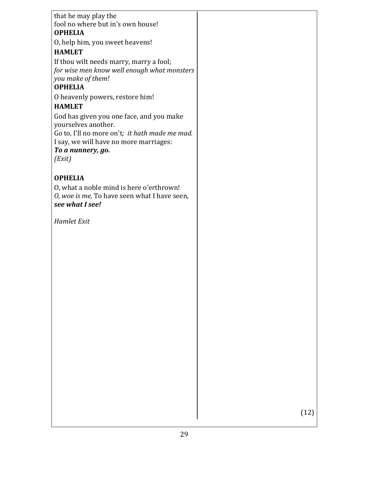| that he may play the                                |  |
|-----------------------------------------------------|--|
| fool no where but in's own house!<br><b>OPHELIA</b> |  |
| O, help him, you sweet heavens!                     |  |
| <b>HAMLET</b>                                       |  |
| If thou wilt needs marry, marry a fool;             |  |
| for wise men know well enough what monsters         |  |
| you make of them!                                   |  |
| <b>OPHELIA</b>                                      |  |
| O heavenly powers, restore him!                     |  |
| <b>HAMLET</b>                                       |  |
| God has given you one face, and you make            |  |
| yourselves another.                                 |  |
| Go to, I'll no more on't; it hath made me mad.      |  |
| I say, we will have no more marriages:              |  |
| To a nunnery, go.<br>(Exit)                         |  |
|                                                     |  |
| <b>OPHELIA</b>                                      |  |
| O, what a noble mind is here o'erthrown!            |  |
| O, woe is me, To have seen what I have seen,        |  |
| see what I see!                                     |  |
|                                                     |  |
| <b>Hamlet Exit</b>                                  |  |
|                                                     |  |
|                                                     |  |
|                                                     |  |
|                                                     |  |
|                                                     |  |
|                                                     |  |
|                                                     |  |
|                                                     |  |
|                                                     |  |
|                                                     |  |
|                                                     |  |
|                                                     |  |
|                                                     |  |
|                                                     |  |
|                                                     |  |
|                                                     |  |
|                                                     |  |
|                                                     |  |
|                                                     |  |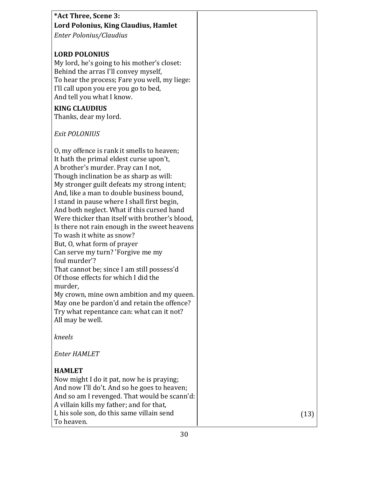| *Act Three, Scene 3:                                                       |      |
|----------------------------------------------------------------------------|------|
| Lord Polonius, King Claudius, Hamlet                                       |      |
| Enter Polonius/Claudius                                                    |      |
|                                                                            |      |
| <b>LORD POLONIUS</b>                                                       |      |
| My lord, he's going to his mother's closet:                                |      |
| Behind the arras I'll convey myself,                                       |      |
| To hear the process; Fare you well, my liege:                              |      |
| I'll call upon you ere you go to bed,                                      |      |
| And tell you what I know.                                                  |      |
| <b>KING CLAUDIUS</b>                                                       |      |
| Thanks, dear my lord.                                                      |      |
|                                                                            |      |
| <b>Exit POLONIUS</b>                                                       |      |
|                                                                            |      |
| O, my offence is rank it smells to heaven;                                 |      |
| It hath the primal eldest curse upon't,                                    |      |
| A brother's murder. Pray can I not,                                        |      |
| Though inclination be as sharp as will:                                    |      |
| My stronger guilt defeats my strong intent;                                |      |
| And, like a man to double business bound,                                  |      |
| I stand in pause where I shall first begin,                                |      |
| And both neglect. What if this cursed hand                                 |      |
| Were thicker than itself with brother's blood,                             |      |
| Is there not rain enough in the sweet heavens<br>To wash it white as snow? |      |
| But, O, what form of prayer                                                |      |
| Can serve my turn? 'Forgive me my                                          |      |
| foul murder'?                                                              |      |
| That cannot be; since I am still possess'd                                 |      |
| Of those effects for which I did the                                       |      |
| murder,                                                                    |      |
| My crown, mine own ambition and my queen.                                  |      |
| May one be pardon'd and retain the offence?                                |      |
| Try what repentance can: what can it not?                                  |      |
| All may be well.                                                           |      |
|                                                                            |      |
| kneels                                                                     |      |
|                                                                            |      |
| Enter HAMLET                                                               |      |
| <b>HAMLET</b>                                                              |      |
| Now might I do it pat, now he is praying;                                  |      |
| And now I'll do't. And so he goes to heaven;                               |      |
| And so am I revenged. That would be scann'd:                               |      |
| A villain kills my father; and for that,                                   |      |
| I, his sole son, do this same villain send                                 | (13) |
| To heaven.                                                                 |      |
|                                                                            |      |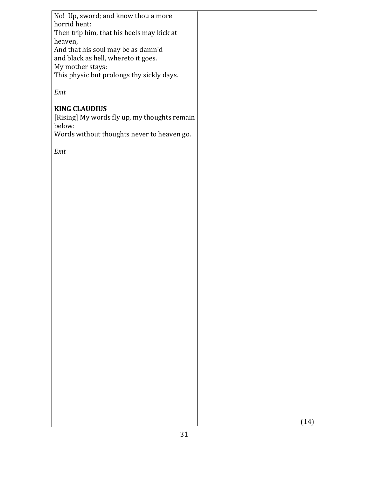| No! Up, sword; and know thou a more<br>horrid hent:<br>Then trip him, that his heels may kick at<br>heaven,<br>And that his soul may be as damn'd<br>and black as hell, whereto it goes.<br>My mother stays:<br>This physic but prolongs thy sickly days. |      |
|-----------------------------------------------------------------------------------------------------------------------------------------------------------------------------------------------------------------------------------------------------------|------|
| Exit                                                                                                                                                                                                                                                      |      |
| <b>KING CLAUDIUS</b><br>[Rising] My words fly up, my thoughts remain<br>below:<br>Words without thoughts never to heaven go.                                                                                                                              |      |
| Exit                                                                                                                                                                                                                                                      |      |
|                                                                                                                                                                                                                                                           |      |
|                                                                                                                                                                                                                                                           |      |
|                                                                                                                                                                                                                                                           |      |
|                                                                                                                                                                                                                                                           |      |
|                                                                                                                                                                                                                                                           |      |
|                                                                                                                                                                                                                                                           |      |
|                                                                                                                                                                                                                                                           |      |
|                                                                                                                                                                                                                                                           |      |
|                                                                                                                                                                                                                                                           |      |
|                                                                                                                                                                                                                                                           |      |
|                                                                                                                                                                                                                                                           |      |
|                                                                                                                                                                                                                                                           |      |
|                                                                                                                                                                                                                                                           |      |
|                                                                                                                                                                                                                                                           |      |
|                                                                                                                                                                                                                                                           | (14) |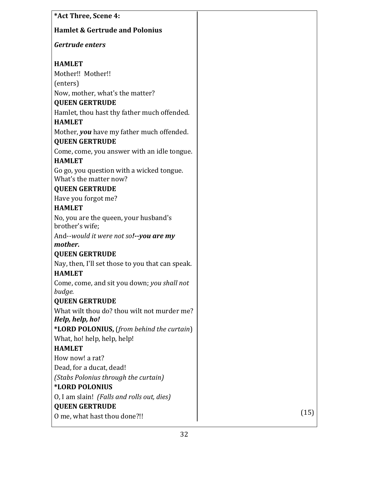| *Act Three, Scene 4:                                               |      |
|--------------------------------------------------------------------|------|
| <b>Hamlet &amp; Gertrude and Polonius</b>                          |      |
| Gertrude enters                                                    |      |
|                                                                    |      |
| <b>HAMLET</b>                                                      |      |
| Mother!! Mother!!                                                  |      |
| (enters)                                                           |      |
| Now, mother, what's the matter?                                    |      |
| <b>QUEEN GERTRUDE</b>                                              |      |
| Hamlet, thou hast thy father much offended.                        |      |
| <b>HAMLET</b>                                                      |      |
| Mother, you have my father much offended.<br><b>QUEEN GERTRUDE</b> |      |
| Come, come, you answer with an idle tongue.                        |      |
| <b>HAMLET</b>                                                      |      |
| Go go, you question with a wicked tongue.                          |      |
| What's the matter now?                                             |      |
| <b>QUEEN GERTRUDE</b>                                              |      |
| Have you forgot me?                                                |      |
| <b>HAMLET</b>                                                      |      |
| No, you are the queen, your husband's                              |      |
| brother's wife;                                                    |      |
| And--would it were not sol--you are my<br>mother.                  |      |
| <b>QUEEN GERTRUDE</b>                                              |      |
| Nay, then, I'll set those to you that can speak.                   |      |
| <b>HAMLET</b>                                                      |      |
| Come, come, and sit you down; you shall not                        |      |
| budge.                                                             |      |
| <b>QUEEN GERTRUDE</b>                                              |      |
| What wilt thou do? thou wilt not murder me?                        |      |
| Help, help, ho!                                                    |      |
| *LORD POLONIUS, (from behind the curtain)                          |      |
| What, ho! help, help, help!<br><b>HAMLET</b>                       |      |
| How now! a rat?                                                    |      |
| Dead, for a ducat, dead!                                           |      |
| (Stabs Polonius through the curtain)                               |      |
| *LORD POLONIUS                                                     |      |
| O, I am slain! (Falls and rolls out, dies)                         |      |
| <b>QUEEN GERTRUDE</b>                                              |      |
| O me, what hast thou done?!!                                       | (15) |
|                                                                    |      |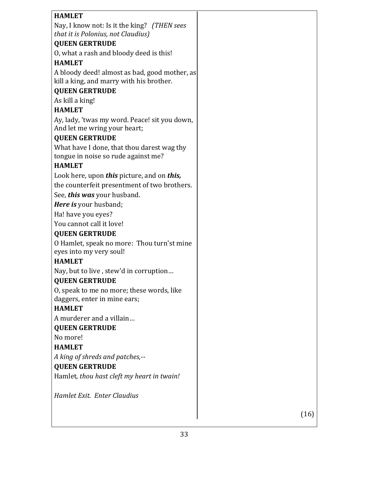| <b>HAMLET</b>                                                                 |      |
|-------------------------------------------------------------------------------|------|
| Nay, I know not: Is it the king? (THEN sees                                   |      |
| that it is Polonius, not Claudius)                                            |      |
| <b>QUEEN GERTRUDE</b>                                                         |      |
| O, what a rash and bloody deed is this!                                       |      |
| <b>HAMLET</b>                                                                 |      |
| A bloody deed! almost as bad, good mother, as                                 |      |
| kill a king, and marry with his brother.                                      |      |
| <b>QUEEN GERTRUDE</b>                                                         |      |
| As kill a king!                                                               |      |
| <b>HAMLET</b>                                                                 |      |
| Ay, lady, 'twas my word. Peace! sit you down,<br>And let me wring your heart; |      |
| <b>QUEEN GERTRUDE</b>                                                         |      |
| What have I done, that thou darest wag thy                                    |      |
| tongue in noise so rude against me?                                           |      |
| <b>HAMLET</b>                                                                 |      |
| Look here, upon this picture, and on this,                                    |      |
| the counterfeit presentment of two brothers.                                  |      |
| See, this was your husband.                                                   |      |
| <b>Here is</b> your husband;                                                  |      |
| Ha! have you eyes?                                                            |      |
| You cannot call it love!                                                      |      |
| <b>QUEEN GERTRUDE</b>                                                         |      |
| O Hamlet, speak no more: Thou turn'st mine                                    |      |
| eyes into my very soul!                                                       |      |
| <b>HAMLET</b>                                                                 |      |
| Nay, but to live, stew'd in corruption                                        |      |
| <b>QUEEN GERTRUDE</b>                                                         |      |
| O, speak to me no more; these words, like                                     |      |
| daggers, enter in mine ears;                                                  |      |
| <b>HAMLET</b>                                                                 |      |
| A murderer and a villain                                                      |      |
| <b>QUEEN GERTRUDE</b>                                                         |      |
| No more!                                                                      |      |
| <b>HAMLET</b>                                                                 |      |
| A king of shreds and patches,--                                               |      |
| <b>QUEEN GERTRUDE</b>                                                         |      |
| Hamlet, thou hast cleft my heart in twain!                                    |      |
| Hamlet Exit. Enter Claudius                                                   |      |
|                                                                               | (16) |
|                                                                               |      |

33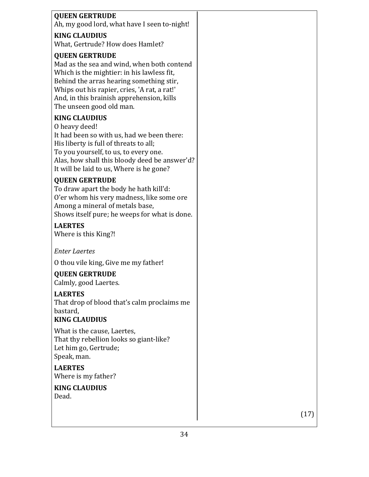| <b>QUEEN GERTRUDE</b><br>Ah, my good lord, what have I seen to-night!                     |      |
|-------------------------------------------------------------------------------------------|------|
| <b>KING CLAUDIUS</b>                                                                      |      |
| What, Gertrude? How does Hamlet?                                                          |      |
| <b>QUEEN GERTRUDE</b>                                                                     |      |
| Mad as the sea and wind, when both contend<br>Which is the mightier: in his lawless fit,  |      |
| Behind the arras hearing something stir,                                                  |      |
| Whips out his rapier, cries, 'A rat, a rat!'                                              |      |
| And, in this brainish apprehension, kills                                                 |      |
| The unseen good old man.                                                                  |      |
| <b>KING CLAUDIUS</b><br>O heavy deed!                                                     |      |
| It had been so with us, had we been there:                                                |      |
| His liberty is full of threats to all;                                                    |      |
| To you yourself, to us, to every one.                                                     |      |
| Alas, how shall this bloody deed be answer'd?<br>It will be laid to us, Where is he gone? |      |
| <b>QUEEN GERTRUDE</b>                                                                     |      |
| To draw apart the body he hath kill'd:                                                    |      |
| O'er whom his very madness, like some ore                                                 |      |
| Among a mineral of metals base,                                                           |      |
| Shows itself pure; he weeps for what is done.                                             |      |
| <b>LAERTES</b>                                                                            |      |
| Where is this King?!                                                                      |      |
| <b>Enter Laertes</b>                                                                      |      |
| O thou vile king, Give me my father!                                                      |      |
| <b>OUEEN GERTRUDE</b>                                                                     |      |
| Calmly, good Laertes.                                                                     |      |
| <b>LAERTES</b><br>That drop of blood that's calm proclaims me                             |      |
| bastard.                                                                                  |      |
| <b>KING CLAUDIUS</b>                                                                      |      |
| What is the cause, Laertes,                                                               |      |
| That thy rebellion looks so giant-like?                                                   |      |
| Let him go, Gertrude;<br>Speak, man.                                                      |      |
| <b>LAERTES</b>                                                                            |      |
| Where is my father?                                                                       |      |
| <b>KING CLAUDIUS</b>                                                                      |      |
| Dead.                                                                                     |      |
|                                                                                           |      |
|                                                                                           | (17) |

34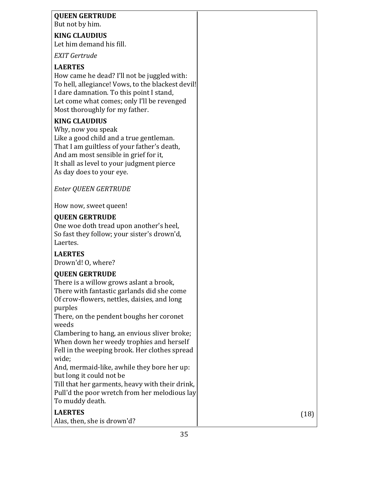| <b>QUEEN GERTRUDE</b>                                                                 |  |
|---------------------------------------------------------------------------------------|--|
| But not by him.                                                                       |  |
| <b>KING CLAUDIUS</b>                                                                  |  |
| Let him demand his fill.                                                              |  |
| EXIT Gertrude                                                                         |  |
| <b>LAERTES</b>                                                                        |  |
| How came he dead? I'll not be juggled with:                                           |  |
| To hell, allegiance! Vows, to the blackest devil!                                     |  |
| I dare damnation. To this point I stand,                                              |  |
| Let come what comes; only I'll be revenged                                            |  |
| Most thoroughly for my father.                                                        |  |
| <b>KING CLAUDIUS</b>                                                                  |  |
| Why, now you speak                                                                    |  |
| Like a good child and a true gentleman.                                               |  |
| That I am guiltless of your father's death,<br>And am most sensible in grief for it,  |  |
| It shall as level to your judgment pierce                                             |  |
| As day does to your eye.                                                              |  |
|                                                                                       |  |
| Enter QUEEN GERTRUDE                                                                  |  |
|                                                                                       |  |
| How now, sweet queen!                                                                 |  |
| <b>QUEEN GERTRUDE</b>                                                                 |  |
| One woe doth tread upon another's heel,                                               |  |
| So fast they follow; your sister's drown'd,<br>Laertes.                               |  |
|                                                                                       |  |
| <b>LAERTES</b><br>Drown'd! O, where?                                                  |  |
|                                                                                       |  |
| <b>QUEEN GERTRUDE</b>                                                                 |  |
| There is a willow grows aslant a brook,<br>There with fantastic garlands did she come |  |
| Of crow-flowers, nettles, daisies, and long                                           |  |
| purples                                                                               |  |
| There, on the pendent boughs her coronet                                              |  |
| weeds                                                                                 |  |
| Clambering to hang, an envious sliver broke;                                          |  |
| When down her weedy trophies and herself                                              |  |
| Fell in the weeping brook. Her clothes spread<br>wide;                                |  |
| And, mermaid-like, awhile they bore her up:                                           |  |
| but long it could not be                                                              |  |
| Till that her garments, heavy with their drink,                                       |  |
| Pull'd the poor wretch from her melodious lay                                         |  |
| To muddy death.                                                                       |  |

# **LAERTES**

Alas, then, she is drown'd?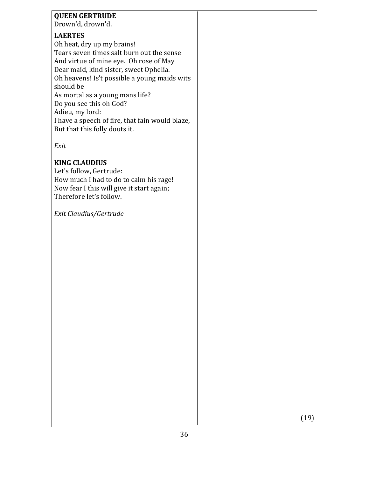| <b>QUEEN GERTRUDE</b><br>Drown'd, drown'd.<br><b>LAERTES</b><br>Oh heat, dry up my brains!<br>Tears seven times salt burn out the sense<br>And virtue of mine eye. Oh rose of May<br>Dear maid, kind sister, sweet Ophelia.<br>Oh heavens! Is't possible a young maids wits<br>should be<br>As mortal as a young mans life?<br>Do you see this oh God?<br>Adieu, my lord:<br>I have a speech of fire, that fain would blaze,<br>But that this folly douts it.<br>Exit<br><b>KING CLAUDIUS</b><br>Let's follow, Gertrude:<br>How much I had to do to calm his rage!<br>Now fear I this will give it start again;<br>Therefore let's follow.<br>Exit Claudius/Gertrude<br>(19) |  |
|------------------------------------------------------------------------------------------------------------------------------------------------------------------------------------------------------------------------------------------------------------------------------------------------------------------------------------------------------------------------------------------------------------------------------------------------------------------------------------------------------------------------------------------------------------------------------------------------------------------------------------------------------------------------------|--|
|                                                                                                                                                                                                                                                                                                                                                                                                                                                                                                                                                                                                                                                                              |  |
|                                                                                                                                                                                                                                                                                                                                                                                                                                                                                                                                                                                                                                                                              |  |
|                                                                                                                                                                                                                                                                                                                                                                                                                                                                                                                                                                                                                                                                              |  |
|                                                                                                                                                                                                                                                                                                                                                                                                                                                                                                                                                                                                                                                                              |  |
|                                                                                                                                                                                                                                                                                                                                                                                                                                                                                                                                                                                                                                                                              |  |
|                                                                                                                                                                                                                                                                                                                                                                                                                                                                                                                                                                                                                                                                              |  |
|                                                                                                                                                                                                                                                                                                                                                                                                                                                                                                                                                                                                                                                                              |  |
|                                                                                                                                                                                                                                                                                                                                                                                                                                                                                                                                                                                                                                                                              |  |
|                                                                                                                                                                                                                                                                                                                                                                                                                                                                                                                                                                                                                                                                              |  |
|                                                                                                                                                                                                                                                                                                                                                                                                                                                                                                                                                                                                                                                                              |  |
|                                                                                                                                                                                                                                                                                                                                                                                                                                                                                                                                                                                                                                                                              |  |
|                                                                                                                                                                                                                                                                                                                                                                                                                                                                                                                                                                                                                                                                              |  |
|                                                                                                                                                                                                                                                                                                                                                                                                                                                                                                                                                                                                                                                                              |  |
|                                                                                                                                                                                                                                                                                                                                                                                                                                                                                                                                                                                                                                                                              |  |
|                                                                                                                                                                                                                                                                                                                                                                                                                                                                                                                                                                                                                                                                              |  |
|                                                                                                                                                                                                                                                                                                                                                                                                                                                                                                                                                                                                                                                                              |  |
|                                                                                                                                                                                                                                                                                                                                                                                                                                                                                                                                                                                                                                                                              |  |
|                                                                                                                                                                                                                                                                                                                                                                                                                                                                                                                                                                                                                                                                              |  |
|                                                                                                                                                                                                                                                                                                                                                                                                                                                                                                                                                                                                                                                                              |  |
|                                                                                                                                                                                                                                                                                                                                                                                                                                                                                                                                                                                                                                                                              |  |
|                                                                                                                                                                                                                                                                                                                                                                                                                                                                                                                                                                                                                                                                              |  |
|                                                                                                                                                                                                                                                                                                                                                                                                                                                                                                                                                                                                                                                                              |  |
|                                                                                                                                                                                                                                                                                                                                                                                                                                                                                                                                                                                                                                                                              |  |
|                                                                                                                                                                                                                                                                                                                                                                                                                                                                                                                                                                                                                                                                              |  |
|                                                                                                                                                                                                                                                                                                                                                                                                                                                                                                                                                                                                                                                                              |  |
|                                                                                                                                                                                                                                                                                                                                                                                                                                                                                                                                                                                                                                                                              |  |
|                                                                                                                                                                                                                                                                                                                                                                                                                                                                                                                                                                                                                                                                              |  |
|                                                                                                                                                                                                                                                                                                                                                                                                                                                                                                                                                                                                                                                                              |  |
|                                                                                                                                                                                                                                                                                                                                                                                                                                                                                                                                                                                                                                                                              |  |
|                                                                                                                                                                                                                                                                                                                                                                                                                                                                                                                                                                                                                                                                              |  |
|                                                                                                                                                                                                                                                                                                                                                                                                                                                                                                                                                                                                                                                                              |  |
|                                                                                                                                                                                                                                                                                                                                                                                                                                                                                                                                                                                                                                                                              |  |
|                                                                                                                                                                                                                                                                                                                                                                                                                                                                                                                                                                                                                                                                              |  |
|                                                                                                                                                                                                                                                                                                                                                                                                                                                                                                                                                                                                                                                                              |  |
|                                                                                                                                                                                                                                                                                                                                                                                                                                                                                                                                                                                                                                                                              |  |
|                                                                                                                                                                                                                                                                                                                                                                                                                                                                                                                                                                                                                                                                              |  |
|                                                                                                                                                                                                                                                                                                                                                                                                                                                                                                                                                                                                                                                                              |  |
|                                                                                                                                                                                                                                                                                                                                                                                                                                                                                                                                                                                                                                                                              |  |
|                                                                                                                                                                                                                                                                                                                                                                                                                                                                                                                                                                                                                                                                              |  |
|                                                                                                                                                                                                                                                                                                                                                                                                                                                                                                                                                                                                                                                                              |  |
|                                                                                                                                                                                                                                                                                                                                                                                                                                                                                                                                                                                                                                                                              |  |
|                                                                                                                                                                                                                                                                                                                                                                                                                                                                                                                                                                                                                                                                              |  |
|                                                                                                                                                                                                                                                                                                                                                                                                                                                                                                                                                                                                                                                                              |  |
|                                                                                                                                                                                                                                                                                                                                                                                                                                                                                                                                                                                                                                                                              |  |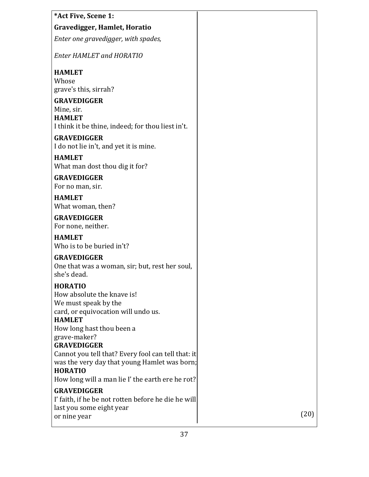| *Act Five, Scene 1:                                                                                                          |      |
|------------------------------------------------------------------------------------------------------------------------------|------|
| Gravedigger, Hamlet, Horatio                                                                                                 |      |
| Enter one gravedigger, with spades,                                                                                          |      |
| Enter HAMLET and HORATIO                                                                                                     |      |
| <b>HAMLET</b><br>Whose                                                                                                       |      |
| grave's this, sirrah?                                                                                                        |      |
| <b>GRAVEDIGGER</b><br>Mine, sir.<br><b>HAMLET</b><br>I think it be thine, indeed; for thou liest in't.                       |      |
| <b>GRAVEDIGGER</b><br>I do not lie in't, and yet it is mine.                                                                 |      |
| <b>HAMLET</b><br>What man dost thou dig it for?                                                                              |      |
| <b>GRAVEDIGGER</b><br>For no man, sir.                                                                                       |      |
| <b>HAMLET</b><br>What woman, then?                                                                                           |      |
| <b>GRAVEDIGGER</b><br>For none, neither.                                                                                     |      |
| <b>HAMLET</b><br>Who is to be buried in't?                                                                                   |      |
| <b>GRAVEDIGGER</b><br>One that was a woman, sir; but, rest her soul,<br>she's dead.                                          |      |
| <b>HORATIO</b><br>How absolute the knave is!<br>We must speak by the<br>card, or equivocation will undo us.<br><b>HAMLET</b> |      |
| How long hast thou been a<br>grave-maker?                                                                                    |      |
| <b>GRAVEDIGGER</b><br>Cannot you tell that? Every fool can tell that: it<br>was the very day that young Hamlet was born;     |      |
| <b>HORATIO</b>                                                                                                               |      |
| How long will a man lie I' the earth ere he rot?                                                                             |      |
| <b>GRAVEDIGGER</b>                                                                                                           |      |
| I' faith, if he be not rotten before he die he will<br>last you some eight year                                              |      |
| or nine year                                                                                                                 | (20) |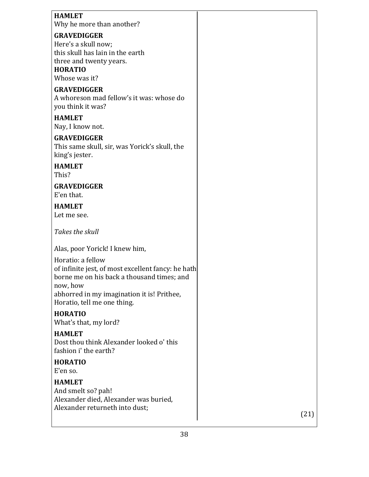| <b>HAMLET</b><br>Why he more than another?             |      |
|--------------------------------------------------------|------|
| <b>GRAVEDIGGER</b>                                     |      |
| Here's a skull now;                                    |      |
| this skull has lain in the earth                       |      |
| three and twenty years.<br><b>HORATIO</b>              |      |
| Whose was it?                                          |      |
| <b>GRAVEDIGGER</b>                                     |      |
| A whoreson mad fellow's it was: whose do               |      |
| you think it was?                                      |      |
| <b>HAMLET</b><br>Nay, I know not.                      |      |
| <b>GRAVEDIGGER</b>                                     |      |
| This same skull, sir, was Yorick's skull, the          |      |
| king's jester.                                         |      |
| <b>HAMLET</b>                                          |      |
| This?                                                  |      |
| <b>GRAVEDIGGER</b>                                     |      |
| E'en that.                                             |      |
| <b>HAMLET</b><br>Let me see.                           |      |
|                                                        |      |
| Takes the skull                                        |      |
| Alas, poor Yorick! I knew him,                         |      |
| Horatio: a fellow                                      |      |
| of infinite jest, of most excellent fancy: he hath     |      |
| borne me on his back a thousand times; and<br>now, how |      |
| abhorred in my imagination it is! Prithee,             |      |
| Horatio, tell me one thing.                            |      |
| <b>HORATIO</b><br>What's that, my lord?                |      |
| <b>HAMLET</b>                                          |      |
| Dost thou think Alexander looked o' this               |      |
| fashion i' the earth?                                  |      |
| <b>HORATIO</b>                                         |      |
| E'en so.                                               |      |
| <b>HAMLET</b><br>And smelt so? pah!                    |      |
| Alexander died, Alexander was buried,                  |      |
| Alexander returneth into dust;                         |      |
|                                                        | (21) |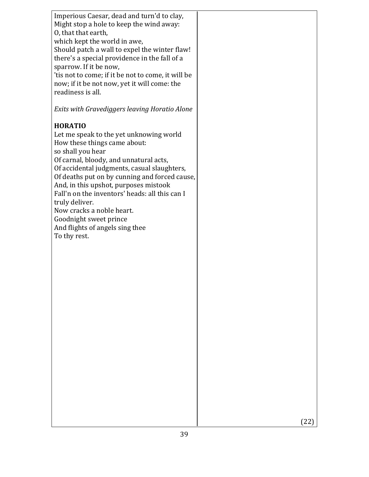| Imperious Caesar, dead and turn'd to clay,         |      |
|----------------------------------------------------|------|
| Might stop a hole to keep the wind away:           |      |
|                                                    |      |
| O, that that earth,                                |      |
| which kept the world in awe,                       |      |
| Should patch a wall to expel the winter flaw!      |      |
|                                                    |      |
| there's a special providence in the fall of a      |      |
| sparrow. If it be now,                             |      |
| 'tis not to come; if it be not to come, it will be |      |
|                                                    |      |
| now; if it be not now, yet it will come: the       |      |
| readiness is all.                                  |      |
|                                                    |      |
|                                                    |      |
| Exits with Gravediggers leaving Horatio Alone      |      |
|                                                    |      |
| <b>HORATIO</b>                                     |      |
|                                                    |      |
| Let me speak to the yet unknowing world            |      |
| How these things came about:                       |      |
| so shall you hear                                  |      |
| Of carnal, bloody, and unnatural acts,             |      |
|                                                    |      |
| Of accidental judgments, casual slaughters,        |      |
| Of deaths put on by cunning and forced cause,      |      |
| And, in this upshot, purposes mistook              |      |
| Fall'n on the inventors' heads: all this can I     |      |
|                                                    |      |
| truly deliver.                                     |      |
| Now cracks a noble heart.                          |      |
| Goodnight sweet prince                             |      |
|                                                    |      |
| And flights of angels sing thee                    |      |
| To thy rest.                                       |      |
|                                                    |      |
|                                                    |      |
|                                                    |      |
|                                                    |      |
|                                                    |      |
|                                                    |      |
|                                                    |      |
|                                                    |      |
|                                                    |      |
|                                                    |      |
|                                                    |      |
|                                                    |      |
|                                                    |      |
|                                                    |      |
|                                                    |      |
|                                                    |      |
|                                                    |      |
|                                                    |      |
|                                                    |      |
|                                                    |      |
|                                                    |      |
|                                                    |      |
|                                                    |      |
|                                                    |      |
|                                                    |      |
|                                                    |      |
|                                                    |      |
|                                                    | (22) |
|                                                    |      |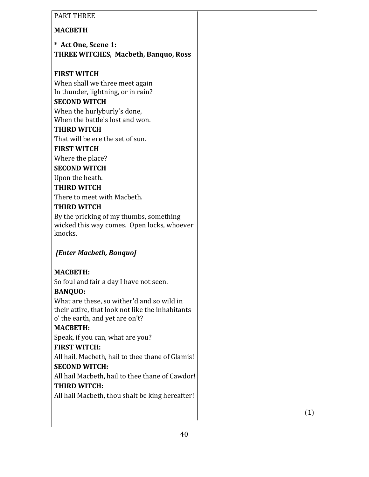| <b>PART THREE</b>                                                                     |
|---------------------------------------------------------------------------------------|
| <b>MACBETH</b>                                                                        |
| * Act One, Scene 1:                                                                   |
| <b>THREE WITCHES, Macbeth, Banquo, Ross</b>                                           |
| <b>FIRST WITCH</b>                                                                    |
| When shall we three meet again                                                        |
| In thunder, lightning, or in rain?                                                    |
| <b>SECOND WITCH</b>                                                                   |
| When the hurlyburly's done,                                                           |
| When the battle's lost and won.                                                       |
| <b>THIRD WITCH</b>                                                                    |
| That will be ere the set of sun.                                                      |
| <b>FIRST WITCH</b>                                                                    |
| Where the place?                                                                      |
| <b>SECOND WITCH</b>                                                                   |
| Upon the heath.                                                                       |
| <b>THIRD WITCH</b>                                                                    |
| There to meet with Macbeth.                                                           |
| <b>THIRD WITCH</b>                                                                    |
| By the pricking of my thumbs, something<br>wicked this way comes. Open locks, whoever |
| knocks.                                                                               |
|                                                                                       |
| [Enter Macbeth, Banquo]                                                               |
|                                                                                       |
| <b>MACBETH:</b>                                                                       |
| So foul and fair a day I have not seen.                                               |
| <b>BANQUO:</b>                                                                        |
| What are these, so wither'd and so wild in                                            |
| their attire, that look not like the inhabitants<br>o' the earth, and yet are on't?   |
| <b>MACBETH:</b>                                                                       |
| Speak, if you can, what are you?                                                      |
| <b>FIRST WITCH:</b>                                                                   |
| All hail, Macbeth, hail to thee thane of Glamis!                                      |
| <b>SECOND WITCH:</b>                                                                  |
| All hail Macbeth, hail to thee thane of Cawdor!                                       |
| <b>THIRD WITCH:</b>                                                                   |
| All hail Macbeth, thou shalt be king hereafter!                                       |
|                                                                                       |
|                                                                                       |
|                                                                                       |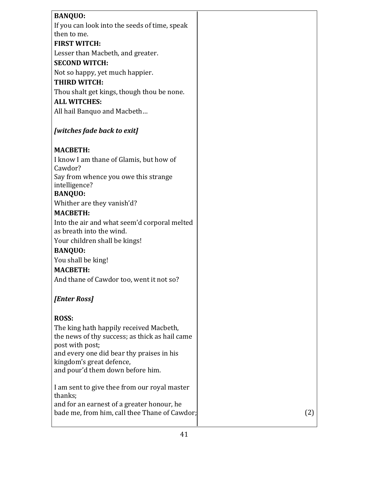| <b>BANQUO:</b>                                                                              |     |
|---------------------------------------------------------------------------------------------|-----|
| If you can look into the seeds of time, speak                                               |     |
| then to me.                                                                                 |     |
| <b>FIRST WITCH:</b>                                                                         |     |
| Lesser than Macbeth, and greater.                                                           |     |
| <b>SECOND WITCH:</b>                                                                        |     |
| Not so happy, yet much happier.                                                             |     |
| <b>THIRD WITCH:</b>                                                                         |     |
| Thou shalt get kings, though thou be none.                                                  |     |
| <b>ALL WITCHES:</b>                                                                         |     |
| All hail Banquo and Macbeth                                                                 |     |
| [witches fade back to exit]                                                                 |     |
| <b>MACBETH:</b>                                                                             |     |
| I know I am thane of Glamis, but how of                                                     |     |
| Cawdor?                                                                                     |     |
| Say from whence you owe this strange<br>intelligence?                                       |     |
| <b>BANQUO:</b>                                                                              |     |
| Whither are they vanish'd?                                                                  |     |
| <b>MACBETH:</b>                                                                             |     |
| Into the air and what seem'd corporal melted                                                |     |
| as breath into the wind.                                                                    |     |
| Your children shall be kings!                                                               |     |
| <b>BANQUO:</b>                                                                              |     |
| You shall be king!                                                                          |     |
| <b>MACBETH:</b>                                                                             |     |
| And thane of Cawdor too, went it not so?                                                    |     |
|                                                                                             |     |
| <b>[Enter Ross]</b>                                                                         |     |
|                                                                                             |     |
| <b>ROSS:</b>                                                                                |     |
| The king hath happily received Macbeth,                                                     |     |
| the news of thy success; as thick as hail came<br>post with post;                           |     |
| and every one did bear thy praises in his                                                   |     |
| kingdom's great defence,                                                                    |     |
| and pour'd them down before him.                                                            |     |
|                                                                                             |     |
| I am sent to give thee from our royal master                                                |     |
| thanks;                                                                                     |     |
| and for an earnest of a greater honour, he<br>bade me, from him, call thee Thane of Cawdor; |     |
|                                                                                             | (2) |
|                                                                                             |     |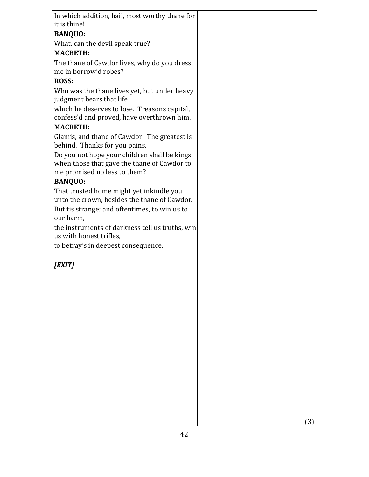| In which addition, hail, most worthy thane for<br>it is thine!                |  |
|-------------------------------------------------------------------------------|--|
|                                                                               |  |
| <b>BANQUO:</b><br>What, can the devil speak true?                             |  |
| <b>MACBETH:</b>                                                               |  |
| The thane of Cawdor lives, why do you dress                                   |  |
| me in borrow'd robes?                                                         |  |
| <b>ROSS:</b>                                                                  |  |
| Who was the thane lives yet, but under heavy<br>judgment bears that life      |  |
| which he deserves to lose. Treasons capital,                                  |  |
| confess'd and proved, have overthrown him.                                    |  |
| <b>MACBETH:</b>                                                               |  |
| Glamis, and thane of Cawdor. The greatest is<br>behind. Thanks for you pains. |  |
| Do you not hope your children shall be kings                                  |  |
| when those that gave the thane of Cawdor to                                   |  |
| me promised no less to them?                                                  |  |
| <b>BANQUO:</b>                                                                |  |
| That trusted home might yet inkindle you                                      |  |
| unto the crown, besides the thane of Cawdor.                                  |  |
| But tis strange; and oftentimes, to win us to<br>our harm,                    |  |
| the instruments of darkness tell us truths, win                               |  |
| us with honest trifles,                                                       |  |
| to betray's in deepest consequence.                                           |  |
|                                                                               |  |
| <i><b>[EXIT]</b></i>                                                          |  |
|                                                                               |  |
|                                                                               |  |
|                                                                               |  |
|                                                                               |  |
|                                                                               |  |
|                                                                               |  |
|                                                                               |  |
|                                                                               |  |
|                                                                               |  |
|                                                                               |  |
|                                                                               |  |
|                                                                               |  |
|                                                                               |  |
|                                                                               |  |
|                                                                               |  |

(3)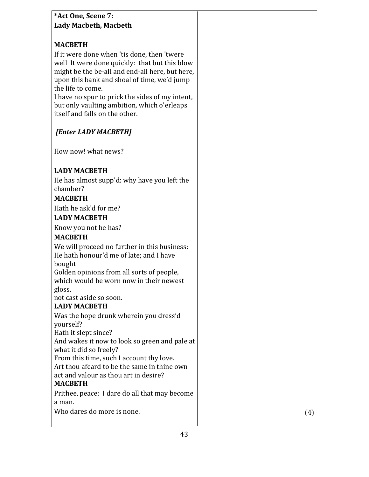# **\*Act One, Scene 7: Lady Macbeth, Macbeth**

# **MACBETH**

If it were done when 'tis done, then 'twere well It were done quickly: that but this blow might be the be-all and end-all here, but here, upon this bank and shoal of time, we'd jump the life to come.

I have no spur to prick the sides of my intent, but only vaulting ambition, which o'erleaps itself and falls on the other.

# *[Enter LADY MACBETH]*

How now! what news?

# **LADY MACBETH**

He has almost supp'd: why have you left the chamber?

#### **MACBETH**

Hath he ask'd for me?

#### **LADY MACBETH**

Know you not he has?

# **MACBETH**

We will proceed no further in this business: He hath honour'd me of late; and I have bought 

Golden opinions from all sorts of people, which would be worn now in their newest gloss, 

not cast aside so soon.

# **LADY MACBETH**

Was the hope drunk wherein you dress'd yourself? 

Hath it slept since?

And wakes it now to look so green and pale at what it did so freely?

From this time, such I account thy love.

Art thou afeard to be the same in thine own act and valour as thou art in desire?

# **MACBETH**

Prithee, peace: I dare do all that may become a man.

Who dares do more is none.  $(4)$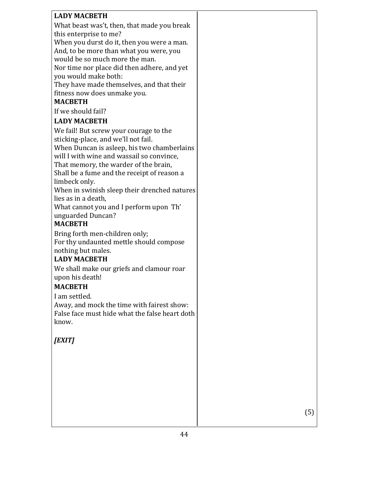| <b>LADY MACBETH</b>                                                 |  |
|---------------------------------------------------------------------|--|
| What beast was't, then, that made you break                         |  |
| this enterprise to me?                                              |  |
| When you durst do it, then you were a man.                          |  |
| And, to be more than what you were, you                             |  |
| would be so much more the man.                                      |  |
| Nor time nor place did then adhere, and yet                         |  |
| you would make both:                                                |  |
| They have made themselves, and that their                           |  |
| fitness now does unmake you.                                        |  |
| <b>MACBETH</b>                                                      |  |
| If we should fail?                                                  |  |
| <b>LADY MACBETH</b>                                                 |  |
| We fail! But screw your courage to the                              |  |
| sticking-place, and we'll not fail.                                 |  |
| When Duncan is asleep, his two chamberlains                         |  |
| will I with wine and wassail so convince,                           |  |
| That memory, the warder of the brain,                               |  |
| Shall be a fume and the receipt of reason a                         |  |
| limbeck only.                                                       |  |
| When in swinish sleep their drenched natures<br>lies as in a death, |  |
| What cannot you and I perform upon Th'                              |  |
| unguarded Duncan?                                                   |  |
| <b>MACBETH</b>                                                      |  |
| Bring forth men-children only;                                      |  |
| For thy undaunted mettle should compose                             |  |
| nothing but males.                                                  |  |
| <b>LADY MACBETH</b>                                                 |  |
| We shall make our griefs and clamour roar                           |  |
| upon his death!                                                     |  |
| <b>MACBETH</b>                                                      |  |
| I am settled.                                                       |  |
| Away, and mock the time with fairest show:                          |  |
| False face must hide what the false heart doth                      |  |
| know.                                                               |  |
|                                                                     |  |
| [EXIT]                                                              |  |
|                                                                     |  |
|                                                                     |  |
|                                                                     |  |
|                                                                     |  |
|                                                                     |  |
|                                                                     |  |
|                                                                     |  |
|                                                                     |  |

(5)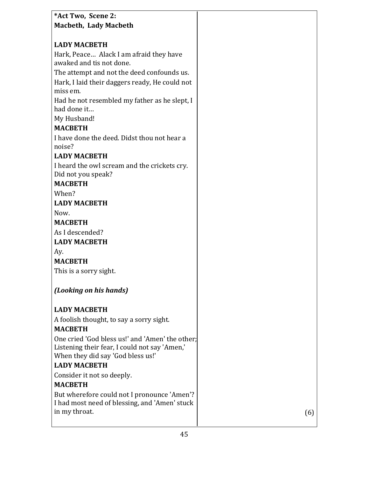| *Act Two, Scene 2:                                           |     |
|--------------------------------------------------------------|-----|
| <b>Macbeth, Lady Macbeth</b>                                 |     |
|                                                              |     |
| <b>LADY MACBETH</b>                                          |     |
| Hark, Peace Alack I am afraid they have                      |     |
| awaked and tis not done.                                     |     |
| The attempt and not the deed confounds us.                   |     |
| Hark, I laid their daggers ready, He could not               |     |
| miss em.                                                     |     |
| Had he not resembled my father as he slept, I<br>had done it |     |
| My Husband!                                                  |     |
| <b>MACBETH</b>                                               |     |
| I have done the deed. Didst thou not hear a                  |     |
| noise?                                                       |     |
| <b>LADY MACBETH</b>                                          |     |
| I heard the owl scream and the crickets cry.                 |     |
| Did not you speak?                                           |     |
| <b>MACBETH</b>                                               |     |
| When?                                                        |     |
| <b>LADY MACBETH</b>                                          |     |
| Now.                                                         |     |
| <b>MACBETH</b>                                               |     |
| As I descended?                                              |     |
| <b>LADY MACBETH</b>                                          |     |
| Ay.                                                          |     |
| <b>MACBETH</b>                                               |     |
| This is a sorry sight.                                       |     |
|                                                              |     |
| (Looking on his hands)                                       |     |
| <b>LADY MACBETH</b>                                          |     |
| A foolish thought, to say a sorry sight.                     |     |
| <b>MACBETH</b>                                               |     |
| One cried 'God bless us!' and 'Amen' the other;              |     |
| Listening their fear, I could not say 'Amen,'                |     |
| When they did say 'God bless us!'                            |     |
| <b>LADY MACBETH</b>                                          |     |
| Consider it not so deeply.                                   |     |
| <b>MACBETH</b>                                               |     |
| But wherefore could not I pronounce 'Amen'?                  |     |
| I had most need of blessing, and 'Amen' stuck                |     |
| in my throat.                                                | (6) |
|                                                              |     |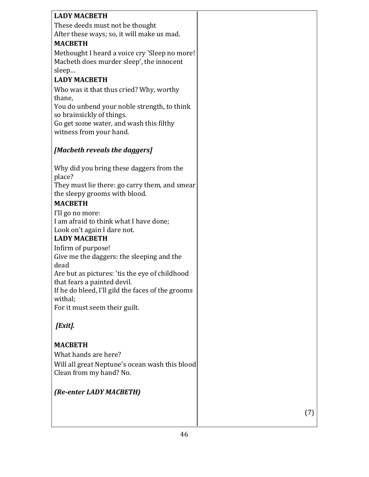| <b>LADY MACBETH</b>                                          |  |
|--------------------------------------------------------------|--|
| These deeds must not be thought                              |  |
| After these ways; so, it will make us mad.                   |  |
| <b>MACBETH</b>                                               |  |
| Methought I heard a voice cry 'Sleep no more!                |  |
| Macbeth does murder sleep', the innocent                     |  |
| sleep                                                        |  |
| <b>LADY MACBETH</b>                                          |  |
| Who was it that thus cried? Why, worthy                      |  |
| thane,                                                       |  |
| You do unbend your noble strength, to think                  |  |
| so brainsickly of things.                                    |  |
| Go get some water, and wash this filthy                      |  |
| witness from your hand.                                      |  |
|                                                              |  |
| [Macbeth reveals the daggers]                                |  |
| Why did you bring these daggers from the                     |  |
| place?                                                       |  |
| They must lie there: go carry them, and smear                |  |
| the sleepy grooms with blood.                                |  |
| <b>MACBETH</b>                                               |  |
| I'll go no more:                                             |  |
| I am afraid to think what I have done;                       |  |
| Look on't again I dare not.                                  |  |
| <b>LADY MACBETH</b>                                          |  |
| Infirm of purpose!                                           |  |
| Give me the daggers: the sleeping and the                    |  |
| dead                                                         |  |
| Are but as pictures: 'tis the eye of childhood               |  |
| that fears a painted devil.                                  |  |
| If he do bleed, I'll gild the faces of the grooms<br>withal; |  |
| For it must seem their guilt.                                |  |
|                                                              |  |
| [Exit].                                                      |  |
|                                                              |  |
| <b>MACBETH</b>                                               |  |
| What hands are here?                                         |  |
| Will all great Neptune's ocean wash this blood               |  |
| Clean from my hand? No.                                      |  |
|                                                              |  |
| (Re-enter LADY MACBETH)                                      |  |
|                                                              |  |
|                                                              |  |

(7)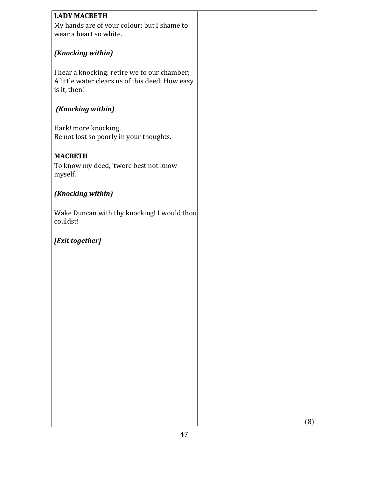| <b>LADY MACBETH</b><br>My hands are of your colour; but I shame to<br>wear a heart so white.                    |     |
|-----------------------------------------------------------------------------------------------------------------|-----|
| (Knocking within)                                                                                               |     |
| I hear a knocking: retire we to our chamber;<br>A little water clears us of this deed: How easy<br>is it, then! |     |
| (Knocking within)                                                                                               |     |
| Hark! more knocking.<br>Be not lost so poorly in your thoughts.                                                 |     |
| <b>MACBETH</b>                                                                                                  |     |
| To know my deed, 'twere best not know<br>myself.                                                                |     |
| (Knocking within)                                                                                               |     |
| Wake Duncan with thy knocking! I would thou<br>couldst!                                                         |     |
| [Exit together]                                                                                                 |     |
|                                                                                                                 |     |
|                                                                                                                 |     |
|                                                                                                                 |     |
|                                                                                                                 |     |
|                                                                                                                 |     |
|                                                                                                                 |     |
|                                                                                                                 |     |
|                                                                                                                 |     |
|                                                                                                                 | (8) |
|                                                                                                                 |     |

 $\lfloor 0 \rfloor$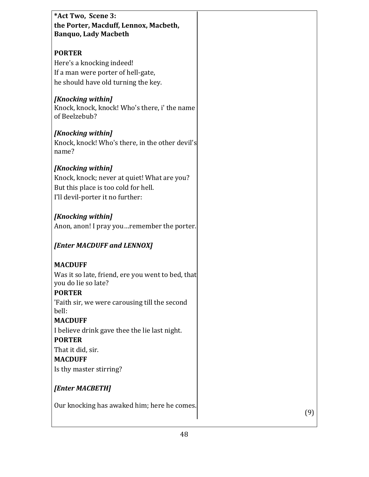| *Act Two, Scene 3:<br>the Porter, Macduff, Lennox, Macbeth,<br><b>Banquo, Lady Macbeth</b> |     |
|--------------------------------------------------------------------------------------------|-----|
| <b>PORTER</b>                                                                              |     |
|                                                                                            |     |
| Here's a knocking indeed!<br>If a man were porter of hell-gate,                            |     |
| he should have old turning the key.                                                        |     |
|                                                                                            |     |
| [Knocking within]                                                                          |     |
| Knock, knock, knock! Who's there, i' the name                                              |     |
| of Beelzebub?                                                                              |     |
| [Knocking within]                                                                          |     |
| Knock, knock! Who's there, in the other devil's                                            |     |
| name?                                                                                      |     |
|                                                                                            |     |
| [Knocking within]                                                                          |     |
| Knock, knock; never at quiet! What are you?                                                |     |
| But this place is too cold for hell.                                                       |     |
| I'll devil-porter it no further:                                                           |     |
|                                                                                            |     |
| [Knocking within]                                                                          |     |
| Anon, anon! I pray youremember the porter.                                                 |     |
| [Enter MACDUFF and LENNOX]                                                                 |     |
| <b>MACDUFF</b>                                                                             |     |
| Was it so late, friend, ere you went to bed, that                                          |     |
| you do lie so late?                                                                        |     |
| <b>PORTER</b>                                                                              |     |
| 'Faith sir, we were carousing till the second                                              |     |
| bell:                                                                                      |     |
| <b>MACDUFF</b>                                                                             |     |
| I believe drink gave thee the lie last night.                                              |     |
| <b>PORTER</b>                                                                              |     |
| That it did, sir.                                                                          |     |
| <b>MACDUFF</b>                                                                             |     |
| Is thy master stirring?                                                                    |     |
| [Enter MACBETH]                                                                            |     |
| Our knocking has awaked him; here he comes.                                                |     |
|                                                                                            | (9) |
|                                                                                            |     |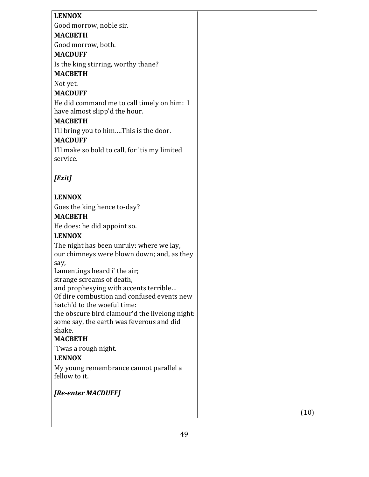#### **LENNOX**

Good morrow, noble sir.

#### **MACBETH**

Good morrow, both.

#### **MACDUFF**

Is the king stirring, worthy thane?

#### **MACBETH**

Not yet.

#### **MACDUFF**

He did command me to call timely on him: I have almost slipp'd the hour.

# **MACBETH**

I'll bring you to him....This is the door.

# **MACDUFF**

I'll make so bold to call, for 'tis my limited service. 

# *[Exit]*

# **LENNOX**

Goes the king hence to-day?

# **MACBETH**

He does: he did appoint so.

# **LENNOX**

The night has been unruly: where we lay, our chimneys were blown down; and, as they say,

Lamentings heard i' the air;

strange screams of death,

and prophesying with accents terrible... Of dire combustion and confused events new

hatch'd to the woeful time:

the obscure bird clamour'd the livelong night: some say, the earth was feverous and did shake.

# **MACBETH**

'Twas a rough night.

# **LENNOX**

My young remembrance cannot parallel a fellow to it.

# *[Re-enter MACDUFF]*

(10)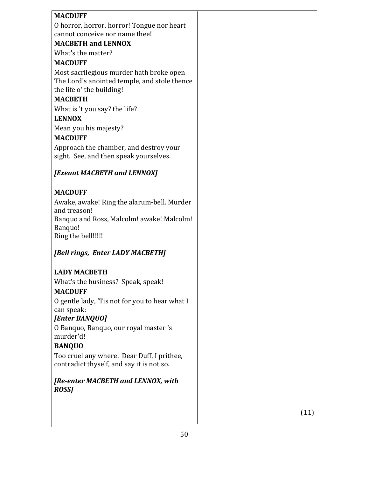| <b>MACDUFF</b>                                 |  |
|------------------------------------------------|--|
| O horror, horror, horror! Tongue nor heart     |  |
| cannot conceive nor name thee!                 |  |
| <b>MACBETH and LENNOX</b>                      |  |
| What's the matter?                             |  |
| <b>MACDUFF</b>                                 |  |
| Most sacrilegious murder hath broke open       |  |
| The Lord's anointed temple, and stole thence   |  |
| the life o' the building!                      |  |
| <b>MACBETH</b>                                 |  |
| What is 't you say? the life?                  |  |
| <b>LENNOX</b>                                  |  |
| Mean you his majesty?                          |  |
| <b>MACDUFF</b>                                 |  |
| Approach the chamber, and destroy your         |  |
| sight. See, and then speak yourselves.         |  |
| <b>[Exeunt MACBETH and LENNOX]</b>             |  |
|                                                |  |
| <b>MACDUFF</b>                                 |  |
| Awake, awake! Ring the alarum-bell. Murder     |  |
| and treason!                                   |  |
| Banquo and Ross, Malcolm! awake! Malcolm!      |  |
| Banquo!                                        |  |
| Ring the bell!!!!!                             |  |
| [Bell rings, Enter LADY MACBETH]               |  |
|                                                |  |
| <b>LADY MACBETH</b>                            |  |
| What's the business? Speak, speak!             |  |
| <b>MACDUFF</b>                                 |  |
| O gentle lady, 'Tis not for you to hear what I |  |
| can speak:                                     |  |
| [Enter BANQUO]                                 |  |
| O Banquo, Banquo, our royal master's           |  |
| murder'd!                                      |  |
| <b>BANQUO</b>                                  |  |
| Too cruel any where. Dear Duff, I prithee,     |  |
| contradict thyself, and say it is not so.      |  |
| [Re-enter MACBETH and LENNOX, with             |  |
| <b>ROSSI</b>                                   |  |
|                                                |  |
|                                                |  |
|                                                |  |
|                                                |  |

(11)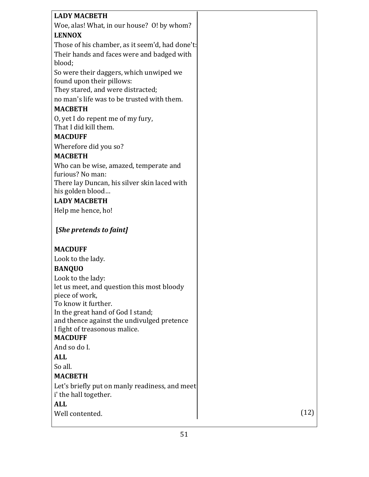| <b>LADY MACBETH</b>                                              |      |
|------------------------------------------------------------------|------|
| Woe, alas! What, in our house? O! by whom?                       |      |
| <b>LENNOX</b>                                                    |      |
| Those of his chamber, as it seem'd, had done't:                  |      |
| Their hands and faces were and badged with                       |      |
| blood;                                                           |      |
| So were their daggers, which unwiped we                          |      |
| found upon their pillows:<br>They stared, and were distracted;   |      |
| no man's life was to be trusted with them.                       |      |
| <b>MACBETH</b>                                                   |      |
|                                                                  |      |
| O, yet I do repent me of my fury,<br>That I did kill them.       |      |
| <b>MACDUFF</b>                                                   |      |
| Wherefore did you so?                                            |      |
| <b>MACBETH</b>                                                   |      |
| Who can be wise, amazed, temperate and                           |      |
| furious? No man:                                                 |      |
| There lay Duncan, his silver skin laced with<br>his golden blood |      |
| <b>LADY MACBETH</b>                                              |      |
|                                                                  |      |
| Help me hence, ho!                                               |      |
| [She pretends to faint]                                          |      |
| <b>MACDUFF</b>                                                   |      |
| Look to the lady.                                                |      |
| <b>BANQUO</b>                                                    |      |
| Look to the lady:                                                |      |
| let us meet, and question this most bloody                       |      |
| piece of work,                                                   |      |
| To know it further.                                              |      |
| In the great hand of God I stand;                                |      |
| and thence against the undivulged pretence                       |      |
| I fight of treasonous malice.<br><b>MACDUFF</b>                  |      |
| And so do I.                                                     |      |
| <b>ALL</b>                                                       |      |
| So all.                                                          |      |
| <b>MACBETH</b>                                                   |      |
| Let's briefly put on manly readiness, and meet                   |      |
| i' the hall together.                                            |      |
| <b>ALL</b>                                                       |      |
| Well contented.                                                  | (12) |
|                                                                  |      |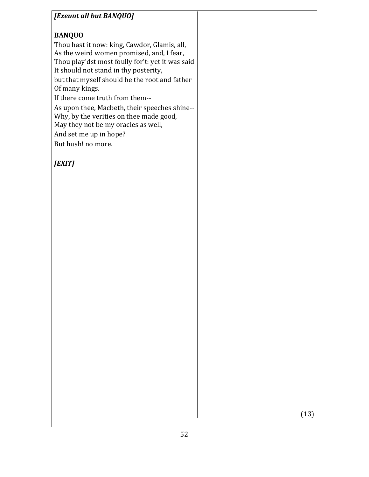| [Exeunt all but BANQUO]                                                                                                                                                                                                                                                                                                                                                                                                                                                                          |      |
|--------------------------------------------------------------------------------------------------------------------------------------------------------------------------------------------------------------------------------------------------------------------------------------------------------------------------------------------------------------------------------------------------------------------------------------------------------------------------------------------------|------|
| <b>BANQUO</b><br>Thou hast it now: king, Cawdor, Glamis, all,<br>As the weird women promised, and, I fear,<br>Thou play'dst most foully for't: yet it was said<br>It should not stand in thy posterity,<br>but that myself should be the root and father<br>Of many kings.<br>If there come truth from them--<br>As upon thee, Macbeth, their speeches shine--<br>Why, by the verities on thee made good,<br>May they not be my oracles as well,<br>And set me up in hope?<br>But hush! no more. |      |
| [EXIT]                                                                                                                                                                                                                                                                                                                                                                                                                                                                                           |      |
|                                                                                                                                                                                                                                                                                                                                                                                                                                                                                                  |      |
|                                                                                                                                                                                                                                                                                                                                                                                                                                                                                                  |      |
|                                                                                                                                                                                                                                                                                                                                                                                                                                                                                                  |      |
|                                                                                                                                                                                                                                                                                                                                                                                                                                                                                                  |      |
|                                                                                                                                                                                                                                                                                                                                                                                                                                                                                                  |      |
|                                                                                                                                                                                                                                                                                                                                                                                                                                                                                                  |      |
|                                                                                                                                                                                                                                                                                                                                                                                                                                                                                                  |      |
|                                                                                                                                                                                                                                                                                                                                                                                                                                                                                                  |      |
|                                                                                                                                                                                                                                                                                                                                                                                                                                                                                                  |      |
|                                                                                                                                                                                                                                                                                                                                                                                                                                                                                                  |      |
|                                                                                                                                                                                                                                                                                                                                                                                                                                                                                                  |      |
|                                                                                                                                                                                                                                                                                                                                                                                                                                                                                                  |      |
|                                                                                                                                                                                                                                                                                                                                                                                                                                                                                                  |      |
|                                                                                                                                                                                                                                                                                                                                                                                                                                                                                                  | (13) |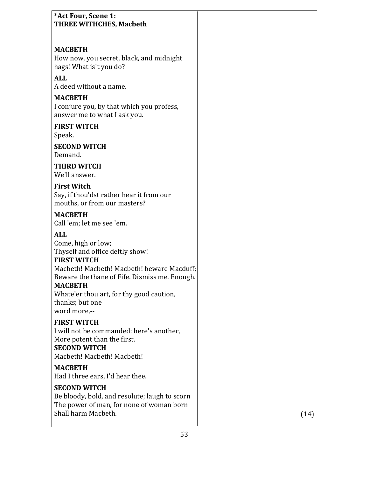| *Act Four, Scene 1:<br><b>THREE WITHCHES, Macbeth</b>                                                                                                                                                                                                                                     |      |
|-------------------------------------------------------------------------------------------------------------------------------------------------------------------------------------------------------------------------------------------------------------------------------------------|------|
| <b>MACBETH</b><br>How now, you secret, black, and midnight<br>hags! What is't you do?<br><b>ALL</b><br>A deed without a name.                                                                                                                                                             |      |
| <b>MACBETH</b><br>I conjure you, by that which you profess,<br>answer me to what I ask you.                                                                                                                                                                                               |      |
| <b>FIRST WITCH</b><br>Speak.                                                                                                                                                                                                                                                              |      |
| <b>SECOND WITCH</b><br>Demand.                                                                                                                                                                                                                                                            |      |
| <b>THIRD WITCH</b><br>We'll answer.                                                                                                                                                                                                                                                       |      |
| <b>First Witch</b><br>Say, if thou'dst rather hear it from our<br>mouths, or from our masters?                                                                                                                                                                                            |      |
| <b>MACBETH</b><br>Call 'em; let me see 'em.                                                                                                                                                                                                                                               |      |
| <b>ALL</b><br>Come, high or low;<br>Thyself and office deftly show!<br><b>FIRST WITCH</b><br>Macbeth! Macbeth! Macbeth! beware Macduff;<br>Beware the thane of Fife. Dismiss me. Enough.<br><b>MACBETH</b><br>Whate'er thou art, for thy good caution,<br>thanks; but one<br>word more,-- |      |
| <b>FIRST WITCH</b>                                                                                                                                                                                                                                                                        |      |
| I will not be commanded: here's another,<br>More potent than the first.<br><b>SECOND WITCH</b><br>Macbeth! Macbeth! Macbeth!                                                                                                                                                              |      |
| <b>MACBETH</b><br>Had I three ears, I'd hear thee.                                                                                                                                                                                                                                        |      |
| <b>SECOND WITCH</b><br>Be bloody, bold, and resolute; laugh to scorn<br>The power of man, for none of woman born<br>Shall harm Macbeth.                                                                                                                                                   | (14) |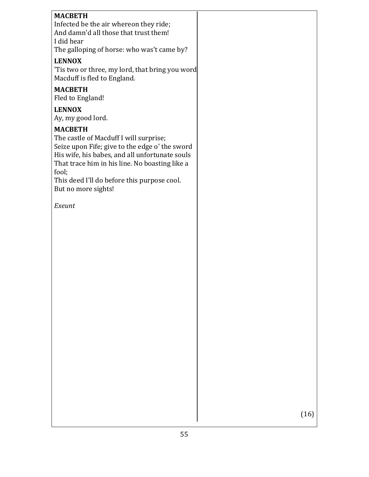| <b>MACBETH</b><br>Infected be the air whereon they ride;<br>And damn'd all those that trust them!<br>I did hear                                                                                                                                                                                         |
|---------------------------------------------------------------------------------------------------------------------------------------------------------------------------------------------------------------------------------------------------------------------------------------------------------|
| The galloping of horse: who was't came by?                                                                                                                                                                                                                                                              |
| <b>LENNOX</b><br>'Tis two or three, my lord, that bring you word                                                                                                                                                                                                                                        |
| Macduff is fled to England.<br><b>MACBETH</b>                                                                                                                                                                                                                                                           |
| Fled to England!                                                                                                                                                                                                                                                                                        |
| <b>LENNOX</b><br>Ay, my good lord.                                                                                                                                                                                                                                                                      |
| <b>MACBETH</b><br>The castle of Macduff I will surprise;<br>Seize upon Fife; give to the edge o' the sword<br>His wife, his babes, and all unfortunate souls<br>That trace him in his line. No boasting like a<br>fool;<br>This deed I'll do before this purpose cool.<br>But no more sights!<br>Exeunt |
|                                                                                                                                                                                                                                                                                                         |
|                                                                                                                                                                                                                                                                                                         |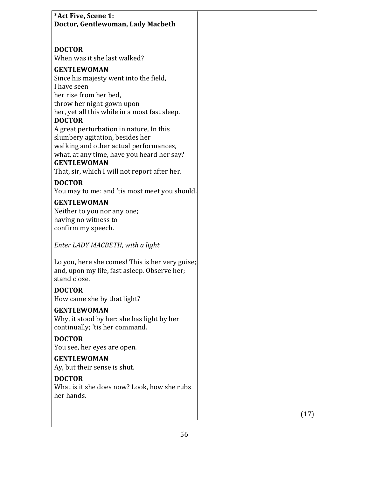| *Act Five, Scene 1:<br>Doctor, Gentlewoman, Lady Macbeth                                                                                                                                                                                  |      |
|-------------------------------------------------------------------------------------------------------------------------------------------------------------------------------------------------------------------------------------------|------|
| <b>DOCTOR</b><br>When was it she last walked?                                                                                                                                                                                             |      |
| <b>GENTLEWOMAN</b><br>Since his majesty went into the field,<br>I have seen<br>her rise from her bed,<br>throw her night-gown upon<br>her, yet all this while in a most fast sleep.<br><b>DOCTOR</b>                                      |      |
| A great perturbation in nature, In this<br>slumbery agitation, besides her<br>walking and other actual performances,<br>what, at any time, have you heard her say?<br><b>GENTLEWOMAN</b><br>That, sir, which I will not report after her. |      |
| <b>DOCTOR</b><br>You may to me: and 'tis most meet you should.                                                                                                                                                                            |      |
| <b>GENTLEWOMAN</b><br>Neither to you nor any one;<br>having no witness to<br>confirm my speech.                                                                                                                                           |      |
| Enter LADY MACBETH, with a light                                                                                                                                                                                                          |      |
| Lo you, here she comes! This is her very guise;<br>and, upon my life, fast asleep. Observe her;<br>stand close.                                                                                                                           |      |
| <b>DOCTOR</b><br>How came she by that light?                                                                                                                                                                                              |      |
| <b>GENTLEWOMAN</b><br>Why, it stood by her: she has light by her<br>continually; 'tis her command.                                                                                                                                        |      |
| <b>DOCTOR</b><br>You see, her eyes are open.                                                                                                                                                                                              |      |
| <b>GENTLEWOMAN</b><br>Ay, but their sense is shut.                                                                                                                                                                                        |      |
| <b>DOCTOR</b><br>What is it she does now? Look, how she rubs<br>her hands.                                                                                                                                                                |      |
|                                                                                                                                                                                                                                           | (17) |

56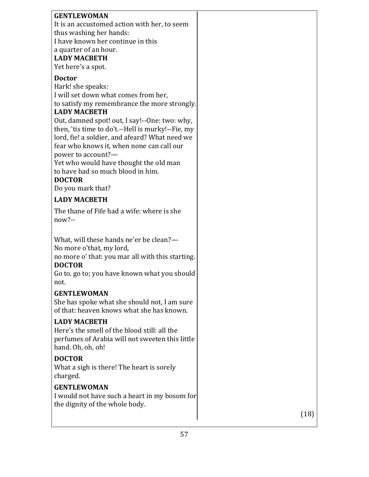| <b>GENTLEWOMAN</b>                                |      |
|---------------------------------------------------|------|
| It is an accustomed action with her, to seem      |      |
| thus washing her hands:                           |      |
| I have known her continue in this                 |      |
|                                                   |      |
| a quarter of an hour.                             |      |
| <b>LADY MACBETH</b>                               |      |
| Yet here's a spot.                                |      |
| <b>Doctor</b>                                     |      |
| Hark! she speaks:                                 |      |
| I will set down what comes from her,              |      |
| to satisfy my remembrance the more strongly.      |      |
| <b>LADY MACBETH</b>                               |      |
|                                                   |      |
| Out, damned spot! out, I say!--One: two: why,     |      |
| then, 'tis time to do't.--Hell is murky!--Fie, my |      |
| lord, fie! a soldier, and afeard? What need we    |      |
| fear who knows it, when none can call our         |      |
| power to account?-                                |      |
| Yet who would have thought the old man            |      |
| to have had so much blood in him.                 |      |
| <b>DOCTOR</b>                                     |      |
| Do you mark that?                                 |      |
| <b>LADY MACBETH</b>                               |      |
|                                                   |      |
| The thane of Fife had a wife: where is she        |      |
| $now?--$                                          |      |
|                                                   |      |
| What, will these hands ne'er be clean?-           |      |
| No more o'that, my lord,                          |      |
| no more o' that: you mar all with this starting.  |      |
| <b>DOCTOR</b>                                     |      |
| Go to, go to; you have known what you should      |      |
| not.                                              |      |
|                                                   |      |
| <b>GENTLEWOMAN</b>                                |      |
| She has spoke what she should not, I am sure      |      |
| of that: heaven knows what she has known.         |      |
| <b>LADY MACBETH</b>                               |      |
| Here's the smell of the blood still: all the      |      |
| perfumes of Arabia will not sweeten this little   |      |
|                                                   |      |
| hand. Oh, oh, oh!                                 |      |
| <b>DOCTOR</b>                                     |      |
| What a sigh is there! The heart is sorely         |      |
| charged.                                          |      |
| <b>GENTLEWOMAN</b>                                |      |
|                                                   |      |
| I would not have such a heart in my bosom for     |      |
| the dignity of the whole body.                    |      |
|                                                   | (18) |
|                                                   |      |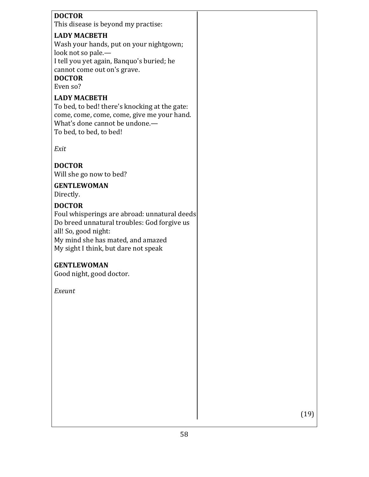#### **DOCTOR**

This disease is beyond my practise:

#### **LADY MACBETH**

Wash your hands, put on your nightgown; look not so pale.— I tell you yet again, Banquo's buried; he cannot come out on's grave. **DOCTOR**

Even so?

#### **LADY MACBETH**

To bed, to bed! there's knocking at the gate: come, come, come, come, give me your hand. What's done cannot be undone.-To bed, to bed, to bed!

*Exit*

**DOCTOR** Will she go now to bed?

#### **GENTLEWOMAN** Directly.

#### **DOCTOR**

Foul whisperings are abroad: unnatural deeds Do breed unnatural troubles: God forgive us all! So, good night: My mind she has mated, and amazed My sight I think, but dare not speak

# **GENTLEWOMAN**

Good night, good doctor.

*Exeunt*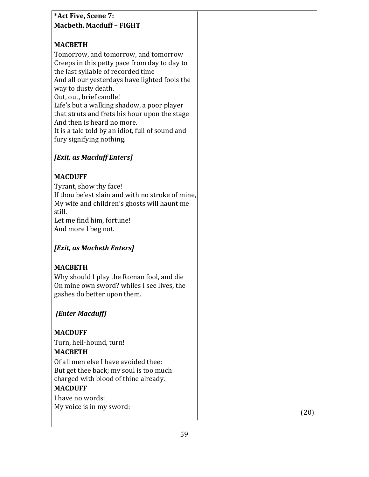# **\*Act Five, Scene 7: Macbeth, Macduff - FIGHT**

# **MACBETH**

Tomorrow, and tomorrow, and tomorrow Creeps in this petty pace from day to day to the last syllable of recorded time And all our vesterdays have lighted fools the way to dusty death. Out, out, brief candle! Life's but a walking shadow, a poor player that struts and frets his hour upon the stage And then is heard no more. It is a tale told by an idiot, full of sound and fury signifying nothing.

# *[Exit, as Macduff Enters]*

# **MACDUFF**

Tyrant, show thy face! If thou be'est slain and with no stroke of mine, My wife and children's ghosts will haunt me still. Let me find him, fortune! And more I beg not.

# *[Exit, as Macbeth Enters]*

# **MACBETH**

Why should I play the Roman fool, and die On mine own sword? whiles I see lives, the gashes do better upon them.

# *[Enter Macduff]*

# **MACDUFF**

Turn, hell-hound, turn!

#### **MACBETH**

Of all men else I have avoided thee: But get thee back; my soul is too much charged with blood of thine already.

# **MACDUFF**

I have no words: My voice is in my sword:  $(20)$